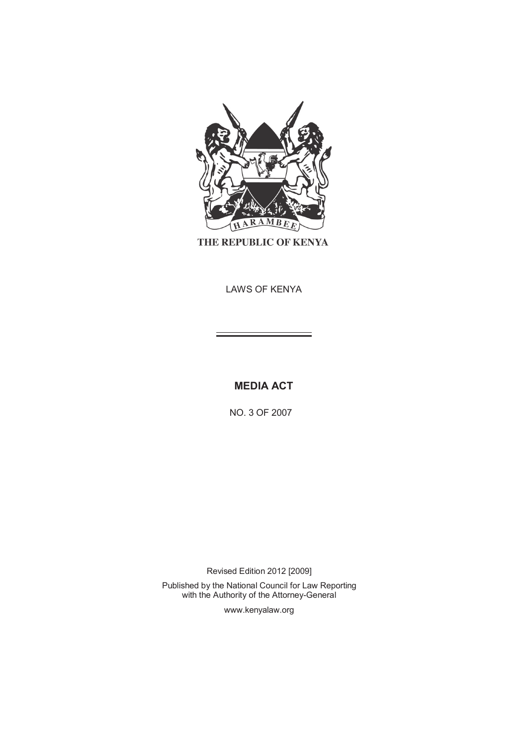

THE REPUBLIC OF KENYA

LAWS OF KENYA

**MEDIA ACT** 

NO. 3 OF 2007

Revised Edition 2012 [2009] Published by the National Council for Law Reporting with the Authority of the Attorney-General

www.kenyalaw.org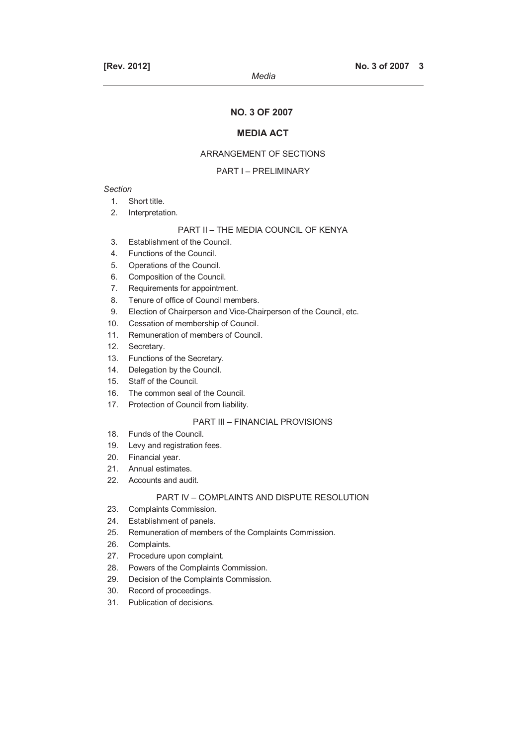*Media* 

## **MEDIA ACT**

## ARRANGEMENT OF SECTIONS

### PART I – PRELIMINARY

## *Section*

- 1. Short title.
- 2. Interpretation.

## PART II – THE MEDIA COUNCIL OF KENYA

- 3. Establishment of the Council.
- 4. Functions of the Council.
- 5. Operations of the Council.
- 6. Composition of the Council.
- 7. Requirements for appointment.
- 8. Tenure of office of Council members.
- 9. Election of Chairperson and Vice-Chairperson of the Council, etc.
- 10. Cessation of membership of Council.
- 11. Remuneration of members of Council.
- 12. Secretary.
- 13. Functions of the Secretary.
- 14. Delegation by the Council.
- 15. Staff of the Council.
- 16. The common seal of the Council.
- 17. Protection of Council from liability.

## PART III – FINANCIAL PROVISIONS

- 18. Funds of the Council.
- 19. Levy and registration fees.
- 20. Financial year.
- 21. Annual estimates.
- 22. Accounts and audit.

### PART IV – COMPLAINTS AND DISPUTE RESOLUTION

- 23. Complaints Commission.
- 24. Establishment of panels.
- 25. Remuneration of members of the Complaints Commission.
- 26. Complaints.
- 27. Procedure upon complaint.
- 28. Powers of the Complaints Commission.
- 29. Decision of the Complaints Commission.
- 30. Record of proceedings.
- 31. Publication of decisions.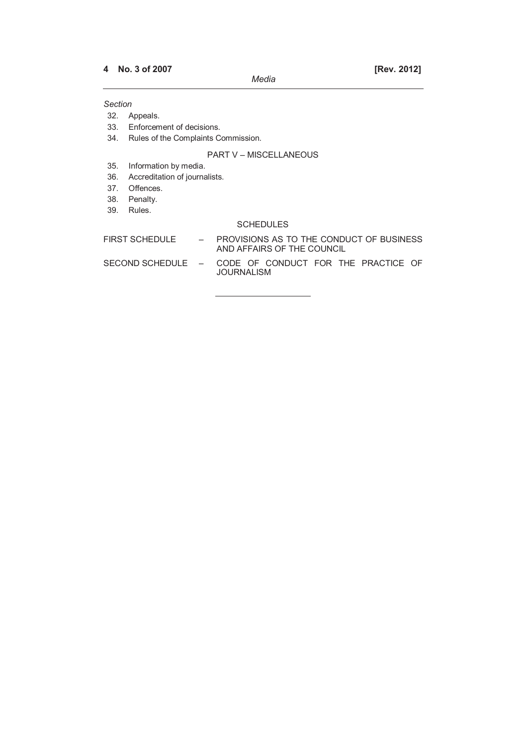### *Section*

32. Appeals.

- 33. Enforcement of decisions.
- 34. Rules of the Complaints Commission.

### PART V – MISCELLANEOUS

35. Information by media.

- 36. Accreditation of journalists.
- 37. Offences.
- 38. Penalty.
- 39. Rules.

## SCHEDULES

FIRST SCHEDULE - PROVISIONS AS TO THE CONDUCT OF BUSINESS AND AFFAIRS OF THE COUNCIL

SECOND SCHEDULE – CODE OF CONDUCT FOR THE PRACTICE OF JOURNALISM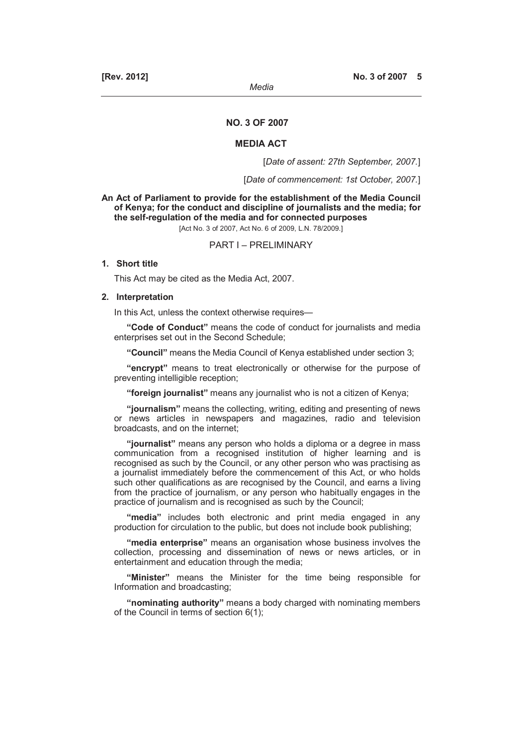## **NO. 3 OF 2007**

#### **MEDIA ACT**

[*Date of assent: 27th September, 2007.*]

[*Date of commencement: 1st October, 2007.*]

**An Act of Parliament to provide for the establishment of the Media Council of Kenya; for the conduct and discipline of journalists and the media; for the self-regulation of the media and for connected purposes** 

[Act No. 3 of 2007, Act No. 6 of 2009, L.N. 78/2009.]

### PART I – PRELIMINARY

## **1. Short title**

This Act may be cited as the Media Act, 2007.

#### **2. Interpretation**

In this Act, unless the context otherwise requires—

**"Code of Conduct"** means the code of conduct for journalists and media enterprises set out in the Second Schedule;

**"Council"** means the Media Council of Kenya established under section 3;

**"encrypt"** means to treat electronically or otherwise for the purpose of preventing intelligible reception;

**"foreign journalist"** means any journalist who is not a citizen of Kenya;

**"journalism"** means the collecting, writing, editing and presenting of news or news articles in newspapers and magazines, radio and television broadcasts, and on the internet;

**"journalist"** means any person who holds a diploma or a degree in mass communication from a recognised institution of higher learning and is recognised as such by the Council, or any other person who was practising as a journalist immediately before the commencement of this Act, or who holds such other qualifications as are recognised by the Council, and earns a living from the practice of journalism, or any person who habitually engages in the practice of journalism and is recognised as such by the Council;

**"media"** includes both electronic and print media engaged in any production for circulation to the public, but does not include book publishing;

**"media enterprise"** means an organisation whose business involves the collection, processing and dissemination of news or news articles, or in entertainment and education through the media;

**"Minister"** means the Minister for the time being responsible for Information and broadcasting;

**"nominating authority"** means a body charged with nominating members of the Council in terms of section 6(1);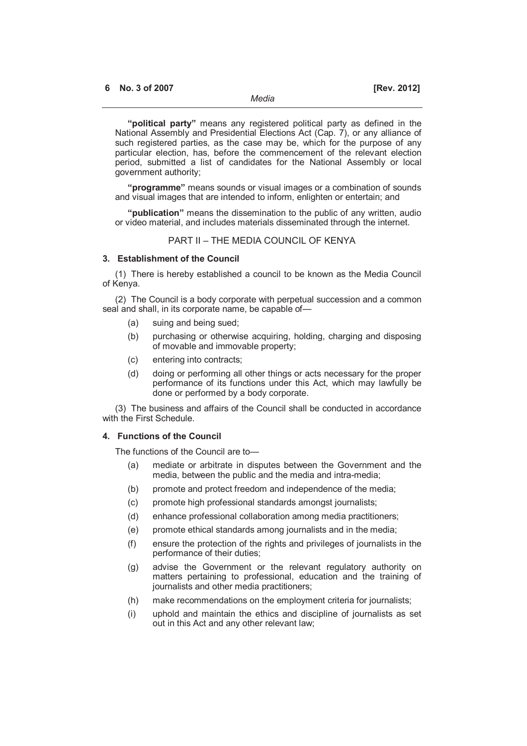**"political party"** means any registered political party as defined in the National Assembly and Presidential Elections Act (Cap. 7), or any alliance of such registered parties, as the case may be, which for the purpose of any particular election, has, before the commencement of the relevant election period, submitted a list of candidates for the National Assembly or local government authority;

**"programme"** means sounds or visual images or a combination of sounds and visual images that are intended to inform, enlighten or entertain; and

**"publication"** means the dissemination to the public of any written, audio or video material, and includes materials disseminated through the internet.

## PART II – THE MEDIA COUNCIL OF KENYA

### **3. Establishment of the Council**

(1) There is hereby established a council to be known as the Media Council of Kenya.

(2) The Council is a body corporate with perpetual succession and a common seal and shall, in its corporate name, be capable of—

- (a) suing and being sued;
- (b) purchasing or otherwise acquiring, holding, charging and disposing of movable and immovable property;
- (c) entering into contracts;
- (d) doing or performing all other things or acts necessary for the proper performance of its functions under this Act, which may lawfully be done or performed by a body corporate.

(3) The business and affairs of the Council shall be conducted in accordance with the First Schedule.

#### **4. Functions of the Council**

The functions of the Council are to—

- (a) mediate or arbitrate in disputes between the Government and the media, between the public and the media and intra-media;
- (b) promote and protect freedom and independence of the media;
- (c) promote high professional standards amongst journalists;
- (d) enhance professional collaboration among media practitioners;
- (e) promote ethical standards among journalists and in the media;
- (f) ensure the protection of the rights and privileges of journalists in the performance of their duties;
- (g) advise the Government or the relevant regulatory authority on matters pertaining to professional, education and the training of journalists and other media practitioners;
- (h) make recommendations on the employment criteria for journalists;
- (i) uphold and maintain the ethics and discipline of journalists as set out in this Act and any other relevant law;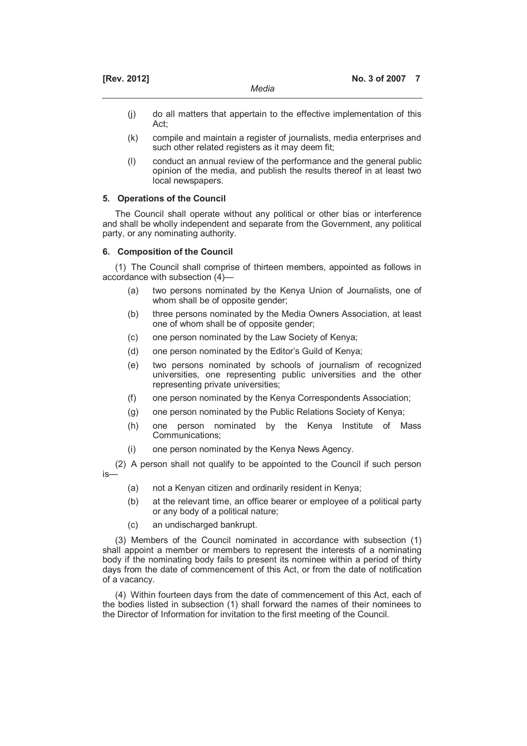| [Rev. 2012] |       | No. 3 of 2007 |  |
|-------------|-------|---------------|--|
|             | Media |               |  |

- (j) do all matters that appertain to the effective implementation of this Act;
- (k) compile and maintain a register of journalists, media enterprises and such other related registers as it may deem fit;
- (l) conduct an annual review of the performance and the general public opinion of the media, and publish the results thereof in at least two local newspapers.

## **5. Operations of the Council**

The Council shall operate without any political or other bias or interference and shall be wholly independent and separate from the Government, any political party, or any nominating authority.

## **6. Composition of the Council**

(1) The Council shall comprise of thirteen members, appointed as follows in accordance with subsection (4)—

- (a) two persons nominated by the Kenya Union of Journalists, one of whom shall be of opposite gender;
- (b) three persons nominated by the Media Owners Association, at least one of whom shall be of opposite gender;
- (c) one person nominated by the Law Society of Kenya;
- (d) one person nominated by the Editor's Guild of Kenya;
- (e) two persons nominated by schools of journalism of recognized universities, one representing public universities and the other representing private universities;
- (f) one person nominated by the Kenya Correspondents Association;
- (g) one person nominated by the Public Relations Society of Kenya;
- (h) one person nominated by the Kenya Institute of Mass Communications;
- (i) one person nominated by the Kenya News Agency.

(2) A person shall not qualify to be appointed to the Council if such person is—

- (a) not a Kenyan citizen and ordinarily resident in Kenya;
- (b) at the relevant time, an office bearer or employee of a political party or any body of a political nature;
- (c) an undischarged bankrupt.

(3) Members of the Council nominated in accordance with subsection (1) shall appoint a member or members to represent the interests of a nominating body if the nominating body fails to present its nominee within a period of thirty days from the date of commencement of this Act, or from the date of notification of a vacancy.

(4) Within fourteen days from the date of commencement of this Act, each of the bodies listed in subsection (1) shall forward the names of their nominees to the Director of Information for invitation to the first meeting of the Council.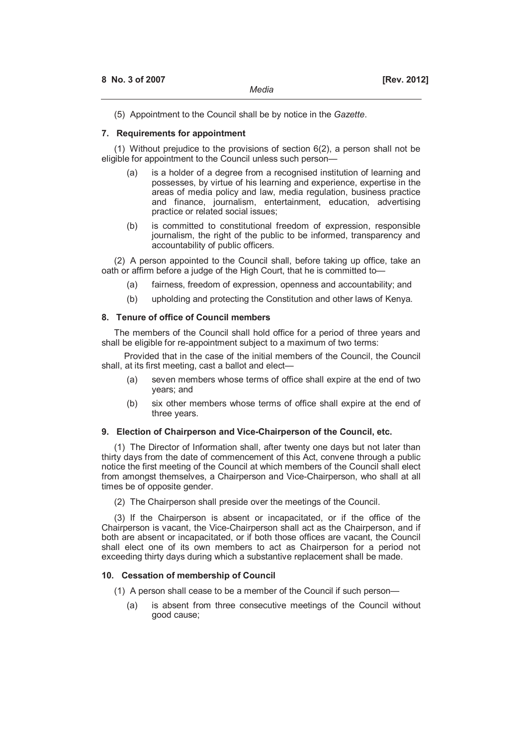(5) Appointment to the Council shall be by notice in the *Gazette*.

### **7. Requirements for appointment**

(1) Without prejudice to the provisions of section 6(2), a person shall not be eligible for appointment to the Council unless such person—

- (a) is a holder of a degree from a recognised institution of learning and possesses, by virtue of his learning and experience, expertise in the areas of media policy and law, media regulation, business practice and finance, journalism, entertainment, education, advertising practice or related social issues;
- (b) is committed to constitutional freedom of expression, responsible journalism, the right of the public to be informed, transparency and accountability of public officers.

(2) A person appointed to the Council shall, before taking up office, take an oath or affirm before a judge of the High Court, that he is committed to—

- (a) fairness, freedom of expression, openness and accountability; and
- (b) upholding and protecting the Constitution and other laws of Kenya.

### **8. Tenure of office of Council members**

The members of the Council shall hold office for a period of three years and shall be eligible for re-appointment subject to a maximum of two terms:

Provided that in the case of the initial members of the Council, the Council shall, at its first meeting, cast a ballot and elect—

- (a) seven members whose terms of office shall expire at the end of two years; and
- (b) six other members whose terms of office shall expire at the end of three years.

## **9. Election of Chairperson and Vice-Chairperson of the Council, etc.**

(1) The Director of Information shall, after twenty one days but not later than thirty days from the date of commencement of this Act, convene through a public notice the first meeting of the Council at which members of the Council shall elect from amongst themselves, a Chairperson and Vice-Chairperson, who shall at all times be of opposite gender.

(2) The Chairperson shall preside over the meetings of the Council.

(3) If the Chairperson is absent or incapacitated, or if the office of the Chairperson is vacant, the Vice-Chairperson shall act as the Chairperson, and if both are absent or incapacitated, or if both those offices are vacant, the Council shall elect one of its own members to act as Chairperson for a period not exceeding thirty days during which a substantive replacement shall be made.

### **10. Cessation of membership of Council**

(1) A person shall cease to be a member of the Council if such person—

 (a) is absent from three consecutive meetings of the Council without good cause;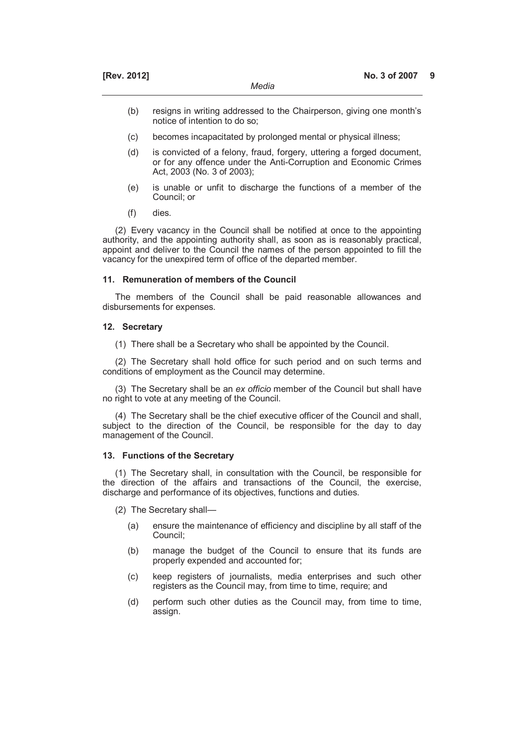- (b) resigns in writing addressed to the Chairperson, giving one month's notice of intention to do so;
- (c) becomes incapacitated by prolonged mental or physical illness;
- (d) is convicted of a felony, fraud, forgery, uttering a forged document, or for any offence under the Anti-Corruption and Economic Crimes Act, 2003 (No. 3 of 2003);
- (e) is unable or unfit to discharge the functions of a member of the Council; or
- (f) dies.

(2) Every vacancy in the Council shall be notified at once to the appointing authority, and the appointing authority shall, as soon as is reasonably practical, appoint and deliver to the Council the names of the person appointed to fill the vacancy for the unexpired term of office of the departed member.

#### **11. Remuneration of members of the Council**

The members of the Council shall be paid reasonable allowances and disbursements for expenses.

## **12. Secretary**

(1) There shall be a Secretary who shall be appointed by the Council.

(2) The Secretary shall hold office for such period and on such terms and conditions of employment as the Council may determine.

(3) The Secretary shall be an *ex officio* member of the Council but shall have no right to vote at any meeting of the Council.

(4) The Secretary shall be the chief executive officer of the Council and shall, subject to the direction of the Council, be responsible for the day to day management of the Council.

### **13. Functions of the Secretary**

(1) The Secretary shall, in consultation with the Council, be responsible for the direction of the affairs and transactions of the Council, the exercise, discharge and performance of its objectives, functions and duties.

- (2) The Secretary shall—
	- (a) ensure the maintenance of efficiency and discipline by all staff of the Council;
	- (b) manage the budget of the Council to ensure that its funds are properly expended and accounted for;
	- (c) keep registers of journalists, media enterprises and such other registers as the Council may, from time to time, require; and
	- (d) perform such other duties as the Council may, from time to time, assign.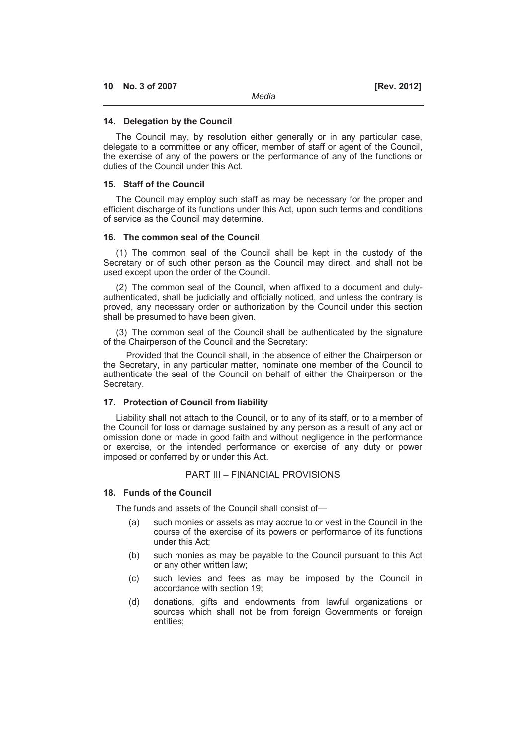The Council may, by resolution either generally or in any particular case, delegate to a committee or any officer, member of staff or agent of the Council, the exercise of any of the powers or the performance of any of the functions or duties of the Council under this Act.

*Media* 

### **15. Staff of the Council**

The Council may employ such staff as may be necessary for the proper and efficient discharge of its functions under this Act, upon such terms and conditions of service as the Council may determine.

### **16. The common seal of the Council**

(1) The common seal of the Council shall be kept in the custody of the Secretary or of such other person as the Council may direct, and shall not be used except upon the order of the Council.

(2) The common seal of the Council, when affixed to a document and dulyauthenticated, shall be judicially and officially noticed, and unless the contrary is proved, any necessary order or authorization by the Council under this section shall be presumed to have been given.

(3) The common seal of the Council shall be authenticated by the signature of the Chairperson of the Council and the Secretary:

Provided that the Council shall, in the absence of either the Chairperson or the Secretary, in any particular matter, nominate one member of the Council to authenticate the seal of the Council on behalf of either the Chairperson or the Secretary.

### **17. Protection of Council from liability**

Liability shall not attach to the Council, or to any of its staff, or to a member of the Council for loss or damage sustained by any person as a result of any act or omission done or made in good faith and without negligence in the performance or exercise, or the intended performance or exercise of any duty or power imposed or conferred by or under this Act.

### PART III – FINANCIAL PROVISIONS

### **18. Funds of the Council**

The funds and assets of the Council shall consist of—

- (a) such monies or assets as may accrue to or vest in the Council in the course of the exercise of its powers or performance of its functions under this Act;
- (b) such monies as may be payable to the Council pursuant to this Act or any other written law;
- (c) such levies and fees as may be imposed by the Council in accordance with section 19;
- (d) donations, gifts and endowments from lawful organizations or sources which shall not be from foreign Governments or foreign entities;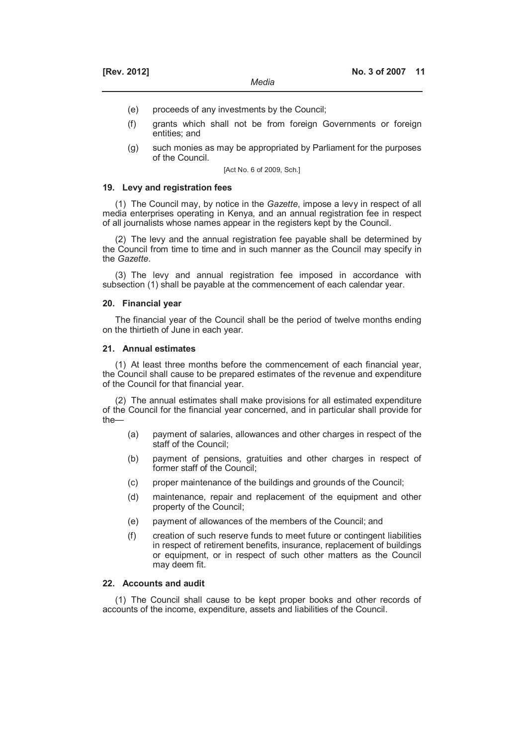- (e) proceeds of any investments by the Council;
- (f) grants which shall not be from foreign Governments or foreign entities; and
- (g) such monies as may be appropriated by Parliament for the purposes of the Council.

[Act No. 6 of 2009, Sch.]

### **19. Levy and registration fees**

(1) The Council may, by notice in the *Gazette*, impose a levy in respect of all media enterprises operating in Kenya, and an annual registration fee in respect of all journalists whose names appear in the registers kept by the Council.

(2) The levy and the annual registration fee payable shall be determined by the Council from time to time and in such manner as the Council may specify in the *Gazette*.

(3) The levy and annual registration fee imposed in accordance with subsection (1) shall be payable at the commencement of each calendar year.

#### **20. Financial year**

The financial year of the Council shall be the period of twelve months ending on the thirtieth of June in each year.

### **21. Annual estimates**

(1) At least three months before the commencement of each financial year, the Council shall cause to be prepared estimates of the revenue and expenditure of the Council for that financial year.

(2) The annual estimates shall make provisions for all estimated expenditure of the Council for the financial year concerned, and in particular shall provide for the—

- (a) payment of salaries, allowances and other charges in respect of the staff of the Council;
- (b) payment of pensions, gratuities and other charges in respect of former staff of the Council;
- (c) proper maintenance of the buildings and grounds of the Council;
- (d) maintenance, repair and replacement of the equipment and other property of the Council;
- (e) payment of allowances of the members of the Council; and
- (f) creation of such reserve funds to meet future or contingent liabilities in respect of retirement benefits, insurance, replacement of buildings or equipment, or in respect of such other matters as the Council may deem fit.

## **22. Accounts and audit**

(1) The Council shall cause to be kept proper books and other records of accounts of the income, expenditure, assets and liabilities of the Council.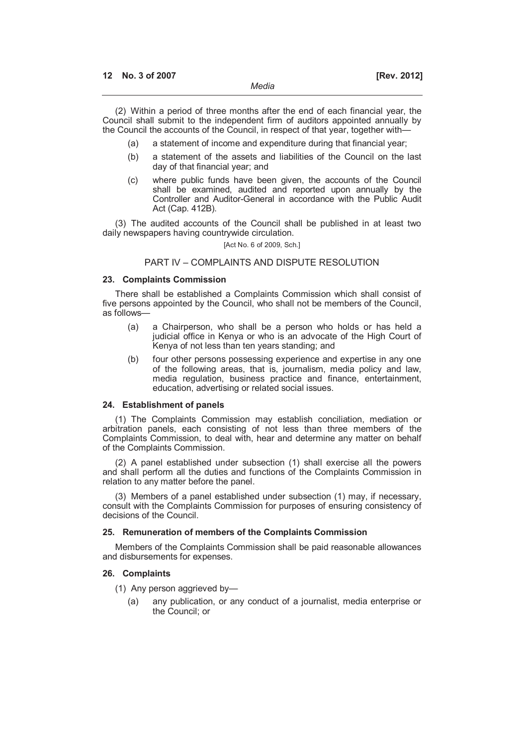(2) Within a period of three months after the end of each financial year, the Council shall submit to the independent firm of auditors appointed annually by the Council the accounts of the Council, in respect of that year, together with—

- (a) a statement of income and expenditure during that financial year;
- (b) a statement of the assets and liabilities of the Council on the last day of that financial year; and
- (c) where public funds have been given, the accounts of the Council shall be examined, audited and reported upon annually by the Controller and Auditor-General in accordance with the Public Audit Act (Cap. 412B).

(3) The audited accounts of the Council shall be published in at least two daily newspapers having countrywide circulation.

[Act No. 6 of 2009, Sch.]

## PART IV – COMPLAINTS AND DISPUTE RESOLUTION

## **23. Complaints Commission**

There shall be established a Complaints Commission which shall consist of five persons appointed by the Council, who shall not be members of the Council, as follows—

- (a) a Chairperson, who shall be a person who holds or has held a judicial office in Kenya or who is an advocate of the High Court of Kenya of not less than ten years standing; and
- (b) four other persons possessing experience and expertise in any one of the following areas, that is, journalism, media policy and law, media regulation, business practice and finance, entertainment, education, advertising or related social issues.

### **24. Establishment of panels**

(1) The Complaints Commission may establish conciliation, mediation or arbitration panels, each consisting of not less than three members of the Complaints Commission, to deal with, hear and determine any matter on behalf of the Complaints Commission.

(2) A panel established under subsection (1) shall exercise all the powers and shall perform all the duties and functions of the Complaints Commission in relation to any matter before the panel.

(3) Members of a panel established under subsection (1) may, if necessary, consult with the Complaints Commission for purposes of ensuring consistency of decisions of the Council.

### **25. Remuneration of members of the Complaints Commission**

Members of the Complaints Commission shall be paid reasonable allowances and disbursements for expenses.

#### **26. Complaints**

- (1) Any person aggrieved by—
	- (a) any publication, or any conduct of a journalist, media enterprise or the Council; or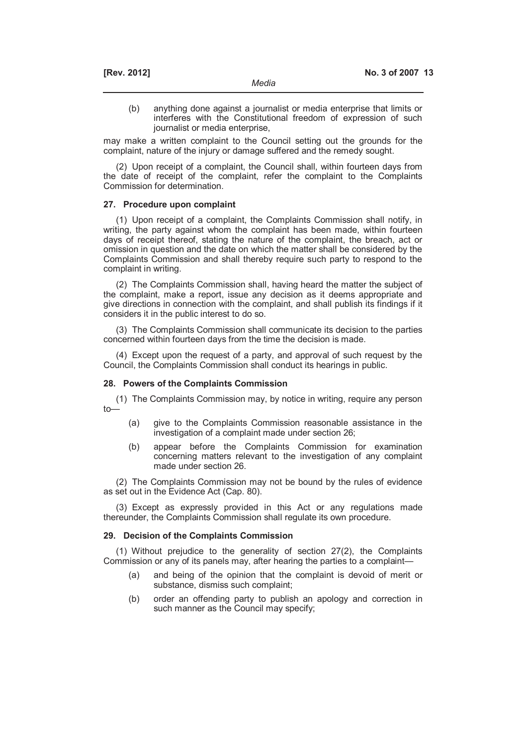(b) anything done against a journalist or media enterprise that limits or interferes with the Constitutional freedom of expression of such journalist or media enterprise,

may make a written complaint to the Council setting out the grounds for the complaint, nature of the injury or damage suffered and the remedy sought.

(2) Upon receipt of a complaint, the Council shall, within fourteen days from the date of receipt of the complaint, refer the complaint to the Complaints Commission for determination.

#### **27. Procedure upon complaint**

(1) Upon receipt of a complaint, the Complaints Commission shall notify, in writing, the party against whom the complaint has been made, within fourteen days of receipt thereof, stating the nature of the complaint, the breach, act or omission in question and the date on which the matter shall be considered by the Complaints Commission and shall thereby require such party to respond to the complaint in writing.

(2) The Complaints Commission shall, having heard the matter the subject of the complaint, make a report, issue any decision as it deems appropriate and give directions in connection with the complaint, and shall publish its findings if it considers it in the public interest to do so.

(3) The Complaints Commission shall communicate its decision to the parties concerned within fourteen days from the time the decision is made.

(4) Except upon the request of a party, and approval of such request by the Council, the Complaints Commission shall conduct its hearings in public.

### **28. Powers of the Complaints Commission**

(1) The Complaints Commission may, by notice in writing, require any person  $t$ 

- (a) give to the Complaints Commission reasonable assistance in the investigation of a complaint made under section 26;
- (b) appear before the Complaints Commission for examination concerning matters relevant to the investigation of any complaint made under section 26.

(2) The Complaints Commission may not be bound by the rules of evidence as set out in the Evidence Act (Cap. 80).

(3) Except as expressly provided in this Act or any regulations made thereunder, the Complaints Commission shall regulate its own procedure.

#### **29. Decision of the Complaints Commission**

(1) Without prejudice to the generality of section 27(2), the Complaints Commission or any of its panels may, after hearing the parties to a complaint—

- (a) and being of the opinion that the complaint is devoid of merit or substance, dismiss such complaint;
- (b) order an offending party to publish an apology and correction in such manner as the Council may specify;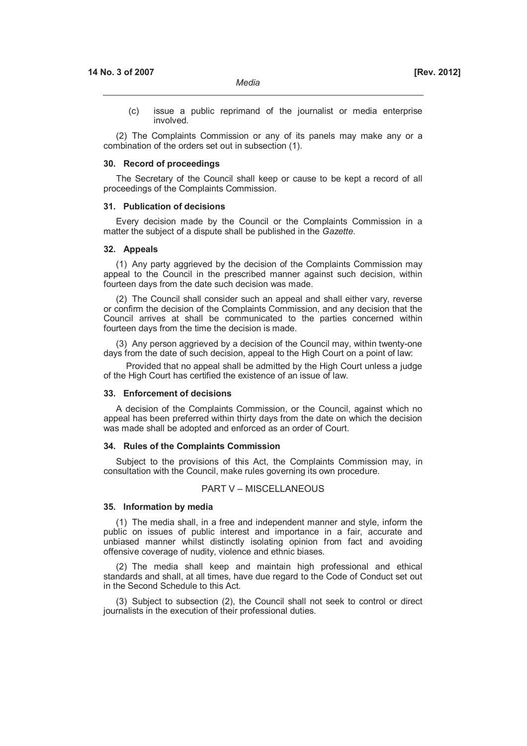(c) issue a public reprimand of the journalist or media enterprise involved.

(2) The Complaints Commission or any of its panels may make any or a combination of the orders set out in subsection (1).

#### **30. Record of proceedings**

The Secretary of the Council shall keep or cause to be kept a record of all proceedings of the Complaints Commission.

#### **31. Publication of decisions**

Every decision made by the Council or the Complaints Commission in a matter the subject of a dispute shall be published in the *Gazette*.

### **32. Appeals**

(1) Any party aggrieved by the decision of the Complaints Commission may appeal to the Council in the prescribed manner against such decision, within fourteen days from the date such decision was made.

(2) The Council shall consider such an appeal and shall either vary, reverse or confirm the decision of the Complaints Commission, and any decision that the Council arrives at shall be communicated to the parties concerned within fourteen days from the time the decision is made.

(3) Any person aggrieved by a decision of the Council may, within twenty-one days from the date of such decision, appeal to the High Court on a point of law:

Provided that no appeal shall be admitted by the High Court unless a judge of the High Court has certified the existence of an issue of law.

#### **33. Enforcement of decisions**

A decision of the Complaints Commission, or the Council, against which no appeal has been preferred within thirty days from the date on which the decision was made shall be adopted and enforced as an order of Court.

#### **34. Rules of the Complaints Commission**

Subject to the provisions of this Act, the Complaints Commission may, in consultation with the Council, make rules governing its own procedure.

### PART V – MISCELLANEOUS

#### **35. Information by media**

(1) The media shall, in a free and independent manner and style, inform the public on issues of public interest and importance in a fair, accurate and unbiased manner whilst distinctly isolating opinion from fact and avoiding offensive coverage of nudity, violence and ethnic biases.

(2) The media shall keep and maintain high professional and ethical standards and shall, at all times, have due regard to the Code of Conduct set out in the Second Schedule to this Act.

(3) Subject to subsection (2), the Council shall not seek to control or direct journalists in the execution of their professional duties.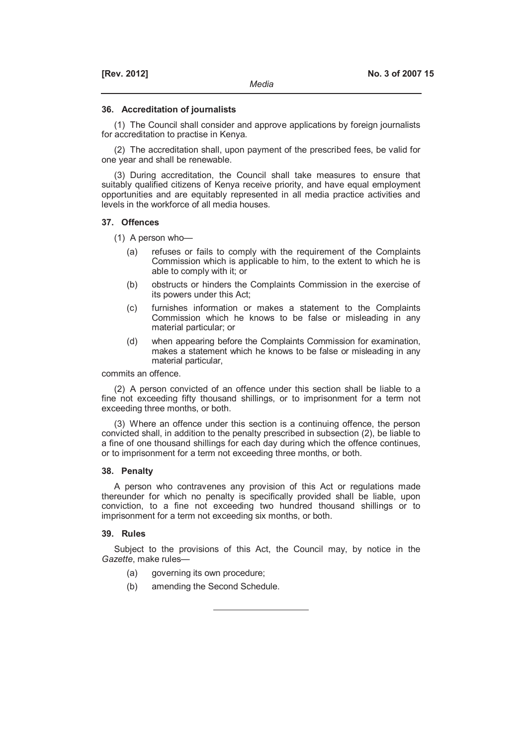#### **36. Accreditation of journalists**

(1) The Council shall consider and approve applications by foreign journalists for accreditation to practise in Kenya.

(2) The accreditation shall, upon payment of the prescribed fees, be valid for one year and shall be renewable.

(3) During accreditation, the Council shall take measures to ensure that suitably qualified citizens of Kenya receive priority, and have equal employment opportunities and are equitably represented in all media practice activities and levels in the workforce of all media houses.

#### **37. Offences**

(1) A person who—

- (a) refuses or fails to comply with the requirement of the Complaints Commission which is applicable to him, to the extent to which he is able to comply with it; or
- (b) obstructs or hinders the Complaints Commission in the exercise of its powers under this Act;
- (c) furnishes information or makes a statement to the Complaints Commission which he knows to be false or misleading in any material particular; or
- (d) when appearing before the Complaints Commission for examination, makes a statement which he knows to be false or misleading in any material particular,

commits an offence.

(2) A person convicted of an offence under this section shall be liable to a fine not exceeding fifty thousand shillings, or to imprisonment for a term not exceeding three months, or both.

(3) Where an offence under this section is a continuing offence, the person convicted shall, in addition to the penalty prescribed in subsection (2), be liable to a fine of one thousand shillings for each day during which the offence continues, or to imprisonment for a term not exceeding three months, or both.

## **38. Penalty**

A person who contravenes any provision of this Act or regulations made thereunder for which no penalty is specifically provided shall be liable, upon conviction, to a fine not exceeding two hundred thousand shillings or to imprisonment for a term not exceeding six months, or both.

#### **39. Rules**

Subject to the provisions of this Act, the Council may, by notice in the *Gazette*, make rules—

- (a) governing its own procedure;
- (b) amending the Second Schedule.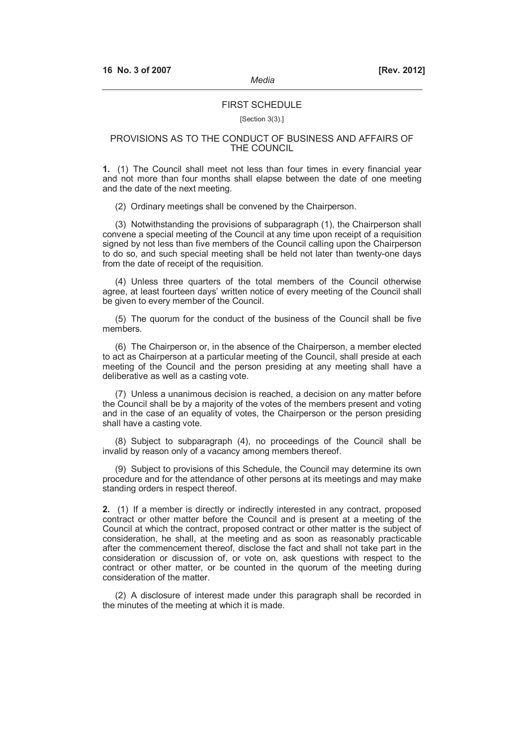#### **FIRST SCHEDULE**

#### [Section 3(3).]

### PROVISIONS AS TO THE CONDUCT OF BUSINESS AND AFFAIRS OF THE COUNCIL

**1.** (1) The Council shall meet not less than four times in every financial year and not more than four months shall elapse between the date of one meeting and the date of the next meeting.

(2) Ordinary meetings shall be convened by the Chairperson.

(3) Notwithstanding the provisions of subparagraph (1), the Chairperson shall convene a special meeting of the Council at any time upon receipt of a requisition signed by not less than five members of the Council calling upon the Chairperson to do so, and such special meeting shall be held not later than twenty-one days from the date of receipt of the requisition.

(4) Unless three quarters of the total members of the Council otherwise agree, at least fourteen days' written notice of every meeting of the Council shall be given to every member of the Council.

(5) The quorum for the conduct of the business of the Council shall be five members.

(6) The Chairperson or, in the absence of the Chairperson, a member elected to act as Chairperson at a particular meeting of the Council, shall preside at each meeting of the Council and the person presiding at any meeting shall have a deliberative as well as a casting vote.

(7) Unless a unanimous decision is reached, a decision on any matter before the Council shall be by a majority of the votes of the members present and voting and in the case of an equality of votes, the Chairperson or the person presiding shall have a casting vote.

(8) Subject to subparagraph (4), no proceedings of the Council shall be invalid by reason only of a vacancy among members thereof.

(9) Subject to provisions of this Schedule, the Council may determine its own procedure and for the attendance of other persons at its meetings and may make standing orders in respect thereof.

**2.** (1) If a member is directly or indirectly interested in any contract, proposed contract or other matter before the Council and is present at a meeting of the Council at which the contract, proposed contract or other matter is the subject of consideration, he shall, at the meeting and as soon as reasonably practicable after the commencement thereof, disclose the fact and shall not take part in the consideration or discussion of, or vote on, ask questions with respect to the contract or other matter, or be counted in the quorum of the meeting during consideration of the matter.

(2) A disclosure of interest made under this paragraph shall be recorded in the minutes of the meeting at which it is made.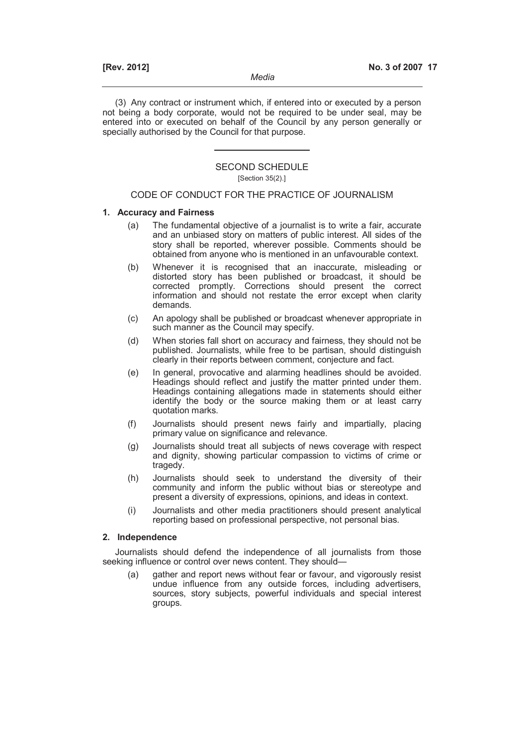(3) Any contract or instrument which, if entered into or executed by a person not being a body corporate, would not be required to be under seal, may be entered into or executed on behalf of the Council by any person generally or specially authorised by the Council for that purpose.

# SECOND SCHEDULE

## [Section 35(2).]

## CODE OF CONDUCT FOR THE PRACTICE OF JOURNALISM

### **1. Accuracy and Fairness**

- (a) The fundamental objective of a journalist is to write a fair, accurate and an unbiased story on matters of public interest. All sides of the story shall be reported, wherever possible. Comments should be obtained from anyone who is mentioned in an unfavourable context.
- (b) Whenever it is recognised that an inaccurate, misleading or distorted story has been published or broadcast, it should be corrected promptly. Corrections should present the correct information and should not restate the error except when clarity demands.
- (c) An apology shall be published or broadcast whenever appropriate in such manner as the Council may specify.
- (d) When stories fall short on accuracy and fairness, they should not be published. Journalists, while free to be partisan, should distinguish clearly in their reports between comment, conjecture and fact.
- (e) In general, provocative and alarming headlines should be avoided. Headings should reflect and justify the matter printed under them. Headings containing allegations made in statements should either identify the body or the source making them or at least carry quotation marks.
- (f) Journalists should present news fairly and impartially, placing primary value on significance and relevance.
- (g) Journalists should treat all subjects of news coverage with respect and dignity, showing particular compassion to victims of crime or tragedy.
- (h) Journalists should seek to understand the diversity of their community and inform the public without bias or stereotype and present a diversity of expressions, opinions, and ideas in context.
- (i) Journalists and other media practitioners should present analytical reporting based on professional perspective, not personal bias.

### **2. Independence**

Journalists should defend the independence of all journalists from those seeking influence or control over news content. They should—

 (a) gather and report news without fear or favour, and vigorously resist undue influence from any outside forces, including advertisers, sources, story subjects, powerful individuals and special interest groups.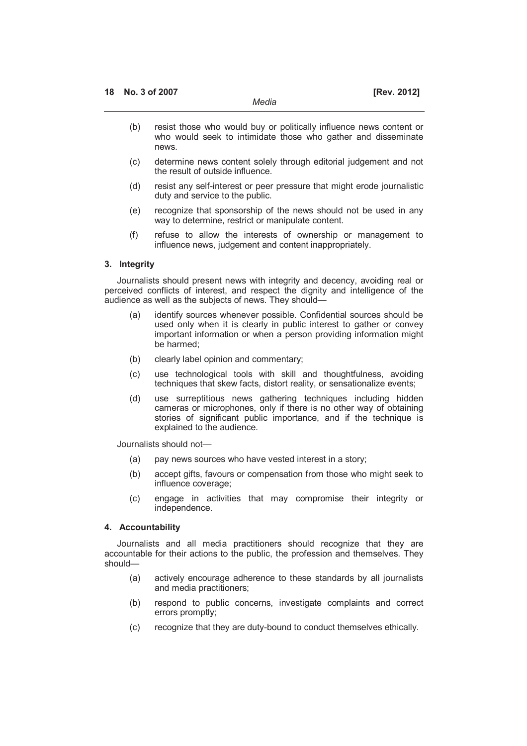- (b) resist those who would buy or politically influence news content or who would seek to intimidate those who gather and disseminate news.
- (c) determine news content solely through editorial judgement and not the result of outside influence.
- (d) resist any self-interest or peer pressure that might erode journalistic duty and service to the public.
- (e) recognize that sponsorship of the news should not be used in any way to determine, restrict or manipulate content.
- (f) refuse to allow the interests of ownership or management to influence news, judgement and content inappropriately.

### **3. Integrity**

Journalists should present news with integrity and decency, avoiding real or perceived conflicts of interest, and respect the dignity and intelligence of the audience as well as the subjects of news. They should—

- (a) identify sources whenever possible. Confidential sources should be used only when it is clearly in public interest to gather or convey important information or when a person providing information might be harmed;
- (b) clearly label opinion and commentary;
- (c) use technological tools with skill and thoughtfulness, avoiding techniques that skew facts, distort reality, or sensationalize events;
- (d) use surreptitious news gathering techniques including hidden cameras or microphones, only if there is no other way of obtaining stories of significant public importance, and if the technique is explained to the audience.

Journalists should not—

- (a) pay news sources who have vested interest in a story;
- (b) accept gifts, favours or compensation from those who might seek to influence coverage;
- (c) engage in activities that may compromise their integrity or independence.

## **4. Accountability**

Journalists and all media practitioners should recognize that they are accountable for their actions to the public, the profession and themselves. They should—

- (a) actively encourage adherence to these standards by all journalists and media practitioners;
- (b) respond to public concerns, investigate complaints and correct errors promptly;
- (c) recognize that they are duty-bound to conduct themselves ethically.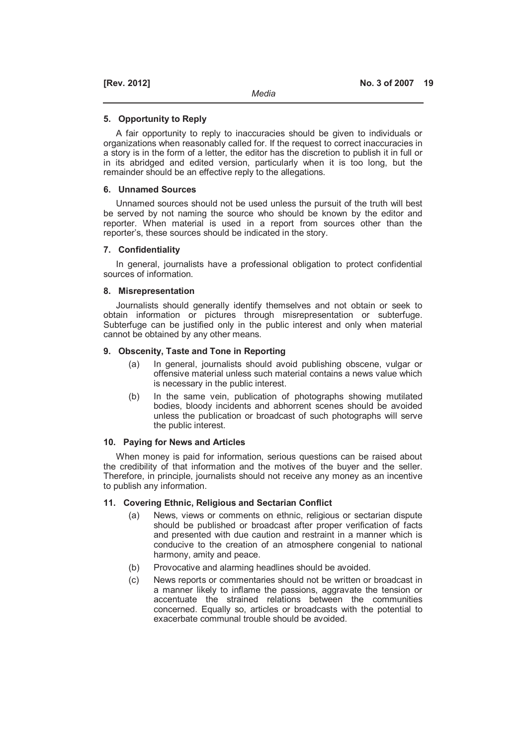#### **5. Opportunity to Reply**

A fair opportunity to reply to inaccuracies should be given to individuals or organizations when reasonably called for. If the request to correct inaccuracies in a story is in the form of a letter, the editor has the discretion to publish it in full or in its abridged and edited version, particularly when it is too long, but the remainder should be an effective reply to the allegations.

### **6. Unnamed Sources**

Unnamed sources should not be used unless the pursuit of the truth will best be served by not naming the source who should be known by the editor and reporter. When material is used in a report from sources other than the reporter's, these sources should be indicated in the story.

### **7. Confidentiality**

In general, journalists have a professional obligation to protect confidential sources of information.

### **8. Misrepresentation**

Journalists should generally identify themselves and not obtain or seek to obtain information or pictures through misrepresentation or subterfuge. Subterfuge can be justified only in the public interest and only when material cannot be obtained by any other means.

### **9. Obscenity, Taste and Tone in Reporting**

- (a) In general, journalists should avoid publishing obscene, vulgar or offensive material unless such material contains a news value which is necessary in the public interest.
- (b) In the same vein, publication of photographs showing mutilated bodies, bloody incidents and abhorrent scenes should be avoided unless the publication or broadcast of such photographs will serve the public interest.

## **10. Paying for News and Articles**

When money is paid for information, serious questions can be raised about the credibility of that information and the motives of the buyer and the seller. Therefore, in principle, journalists should not receive any money as an incentive to publish any information.

### **11. Covering Ethnic, Religious and Sectarian Conflict**

- (a) News, views or comments on ethnic, religious or sectarian dispute should be published or broadcast after proper verification of facts and presented with due caution and restraint in a manner which is conducive to the creation of an atmosphere congenial to national harmony, amity and peace.
- (b) Provocative and alarming headlines should be avoided.
- (c) News reports or commentaries should not be written or broadcast in a manner likely to inflame the passions, aggravate the tension or accentuate the strained relations between the communities concerned. Equally so, articles or broadcasts with the potential to exacerbate communal trouble should be avoided.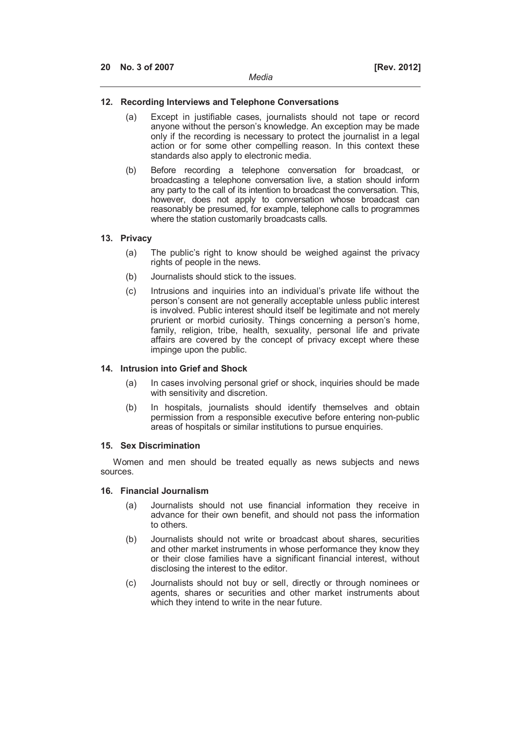## **12. Recording Interviews and Telephone Conversations**

- (a) Except in justifiable cases, journalists should not tape or record anyone without the person's knowledge. An exception may be made only if the recording is necessary to protect the journalist in a legal action or for some other compelling reason. In this context these standards also apply to electronic media.
- (b) Before recording a telephone conversation for broadcast, or broadcasting a telephone conversation live, a station should inform any party to the call of its intention to broadcast the conversation. This, however, does not apply to conversation whose broadcast can reasonably be presumed, for example, telephone calls to programmes where the station customarily broadcasts calls.

### **13. Privacy**

- (a) The public's right to know should be weighed against the privacy rights of people in the news.
- (b) Journalists should stick to the issues.
- (c) Intrusions and inquiries into an individual's private life without the person's consent are not generally acceptable unless public interest is involved. Public interest should itself be legitimate and not merely prurient or morbid curiosity. Things concerning a person's home, family, religion, tribe, health, sexuality, personal life and private affairs are covered by the concept of privacy except where these impinge upon the public.

### **14. Intrusion into Grief and Shock**

- (a) In cases involving personal grief or shock, inquiries should be made with sensitivity and discretion.
- (b) In hospitals, journalists should identify themselves and obtain permission from a responsible executive before entering non-public areas of hospitals or similar institutions to pursue enquiries.

#### **15. Sex Discrimination**

Women and men should be treated equally as news subjects and news sources.

### **16. Financial Journalism**

- (a) Journalists should not use financial information they receive in advance for their own benefit, and should not pass the information to others.
- (b) Journalists should not write or broadcast about shares, securities and other market instruments in whose performance they know they or their close families have a significant financial interest, without disclosing the interest to the editor.
- (c) Journalists should not buy or sell, directly or through nominees or agents, shares or securities and other market instruments about which they intend to write in the near future.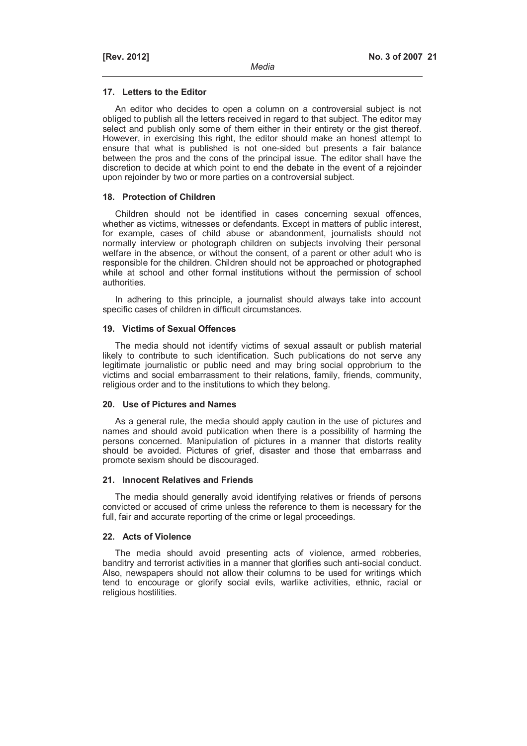### **17. Letters to the Editor**

An editor who decides to open a column on a controversial subject is not obliged to publish all the letters received in regard to that subject. The editor may select and publish only some of them either in their entirety or the gist thereof. However, in exercising this right, the editor should make an honest attempt to ensure that what is published is not one-sided but presents a fair balance between the pros and the cons of the principal issue. The editor shall have the discretion to decide at which point to end the debate in the event of a rejoinder upon rejoinder by two or more parties on a controversial subject.

### **18. Protection of Children**

Children should not be identified in cases concerning sexual offences, whether as victims, witnesses or defendants. Except in matters of public interest, for example, cases of child abuse or abandonment, journalists should not normally interview or photograph children on subjects involving their personal welfare in the absence, or without the consent, of a parent or other adult who is responsible for the children. Children should not be approached or photographed while at school and other formal institutions without the permission of school authorities.

In adhering to this principle, a journalist should always take into account specific cases of children in difficult circumstances.

### **19. Victims of Sexual Offences**

The media should not identify victims of sexual assault or publish material likely to contribute to such identification. Such publications do not serve any legitimate journalistic or public need and may bring social opprobrium to the victims and social embarrassment to their relations, family, friends, community, religious order and to the institutions to which they belong.

#### **20. Use of Pictures and Names**

As a general rule, the media should apply caution in the use of pictures and names and should avoid publication when there is a possibility of harming the persons concerned. Manipulation of pictures in a manner that distorts reality should be avoided. Pictures of grief, disaster and those that embarrass and promote sexism should be discouraged.

#### **21. Innocent Relatives and Friends**

The media should generally avoid identifying relatives or friends of persons convicted or accused of crime unless the reference to them is necessary for the full, fair and accurate reporting of the crime or legal proceedings.

#### **22. Acts of Violence**

The media should avoid presenting acts of violence, armed robberies, banditry and terrorist activities in a manner that glorifies such anti-social conduct. Also, newspapers should not allow their columns to be used for writings which tend to encourage or glorify social evils, warlike activities, ethnic, racial or religious hostilities.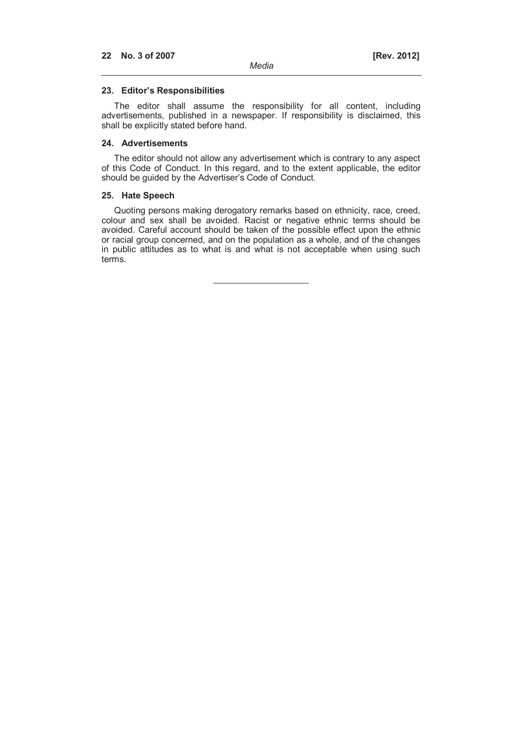### **23. Editor's Responsibilities**

The editor shall assume the responsibility for all content, including advertisements, published in a newspaper. If responsibility is disclaimed, this shall be explicitly stated before hand.

### **24. Advertisements**

The editor should not allow any advertisement which is contrary to any aspect of this Code of Conduct. In this regard, and to the extent applicable, the editor should be guided by the Advertiser's Code of Conduct.

### **25. Hate Speech**

Quoting persons making derogatory remarks based on ethnicity, race, creed, colour and sex shall be avoided. Racist or negative ethnic terms should be avoided. Careful account should be taken of the possible effect upon the ethnic or racial group concerned, and on the population as a whole, and of the changes in public attitudes as to what is and what is not acceptable when using such terms.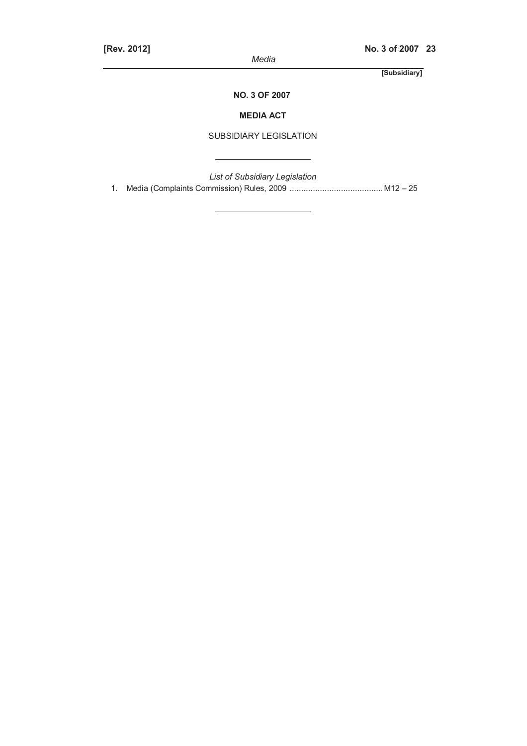*Media* 

**[Subsidiary]**

 **NO. 3 OF 2007**

## **MEDIA ACT**

## SUBSIDIARY LEGISLATION

*List of Subsidiary Legislation*  1. Media (Complaints Commission) Rules, 2009 ........................................ M12 – 25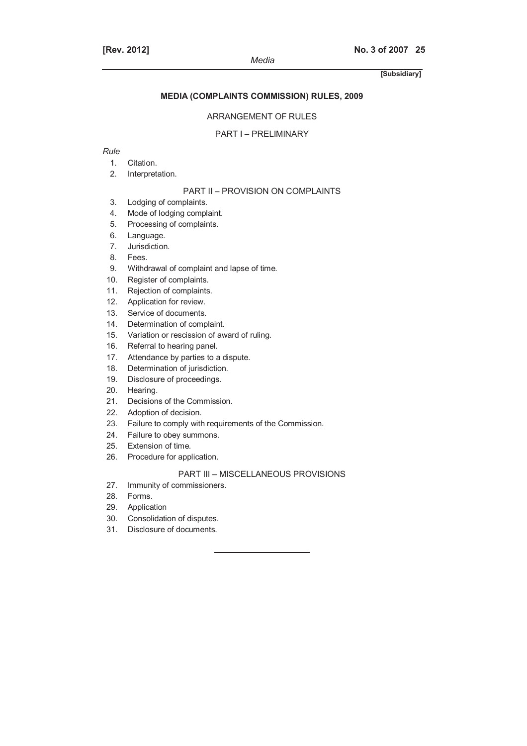## **MEDIA (COMPLAINTS COMMISSION) RULES, 2009**

### ARRANGEMENT OF RULES

#### PART I – PRELIMINARY

## *Rule*

- 1. Citation.
- 2. Interpretation.

## PART II – PROVISION ON COMPLAINTS

- 3. Lodging of complaints.
- 4. Mode of lodging complaint.
- 5. Processing of complaints.
- 6. Language.
- 7. Jurisdiction.
- 8. Fees.
- 9. Withdrawal of complaint and lapse of time.
- 10. Register of complaints.
- 11. Rejection of complaints.
- 12. Application for review.
- 13. Service of documents.
- 14. Determination of complaint.
- 15. Variation or rescission of award of ruling.
- 16. Referral to hearing panel.
- 17. Attendance by parties to a dispute.
- 18. Determination of jurisdiction.
- 19. Disclosure of proceedings.
- 20. Hearing.
- 21. Decisions of the Commission.
- 22. Adoption of decision.
- 23. Failure to comply with requirements of the Commission.
- 24. Failure to obey summons.
- 25. Extension of time.
- 26. Procedure for application.

## PART III – MISCELLANEOUS PROVISIONS

- 27. Immunity of commissioners.
- 28. Forms.
- 29. Application
- 30. Consolidation of disputes.
- 31. Disclosure of documents.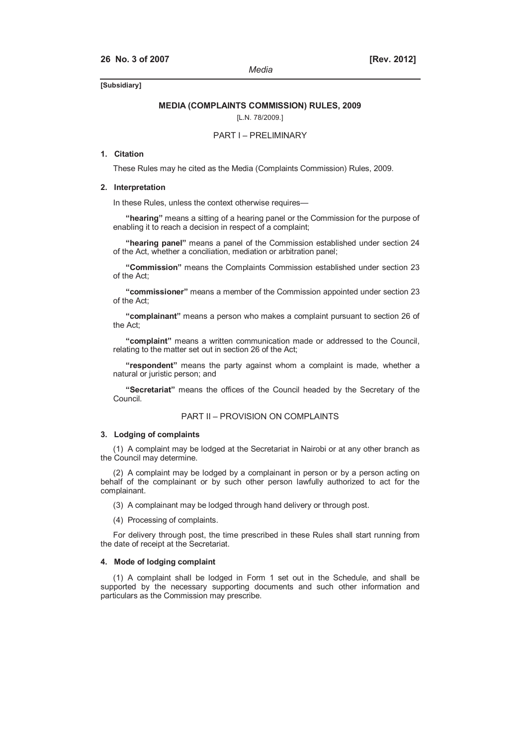#### **MEDIA (COMPLAINTS COMMISSION) RULES, 2009**

[L.N. 78/2009.]

#### PART I – PRELIMINARY

### **1. Citation**

These Rules may he cited as the Media (Complaints Commission) Rules, 2009.

#### **2. Interpretation**

In these Rules, unless the context otherwise requires—

**"hearing"** means a sitting of a hearing panel or the Commission for the purpose of enabling it to reach a decision in respect of a complaint;

**"hearing panel"** means a panel of the Commission established under section 24 of the Act, whether a conciliation, mediation or arbitration panel;

**"Commission"** means the Complaints Commission established under section 23 of the Act;

**"commissioner"** means a member of the Commission appointed under section 23 of the Act;

**"complainant"** means a person who makes a complaint pursuant to section 26 of the Act;

**"complaint"** means a written communication made or addressed to the Council, relating to the matter set out in section 26 of the Act;

**"respondent"** means the party against whom a complaint is made, whether a natural or juristic person; and

**"Secretariat"** means the offices of the Council headed by the Secretary of the Council.

#### PART II – PROVISION ON COMPLAINTS

#### **3. Lodging of complaints**

(1) A complaint may be lodged at the Secretariat in Nairobi or at any other branch as the Council may determine.

(2) A complaint may be lodged by a complainant in person or by a person acting on behalf of the complainant or by such other person lawfully authorized to act for the complainant.

(3) A complainant may be lodged through hand delivery or through post.

(4) Processing of complaints.

For delivery through post, the time prescribed in these Rules shall start running from the date of receipt at the Secretariat.

#### **4. Mode of lodging complaint**

(1) A complaint shall be lodged in Form 1 set out in the Schedule, and shall be supported by the necessary supporting documents and such other information and particulars as the Commission may prescribe.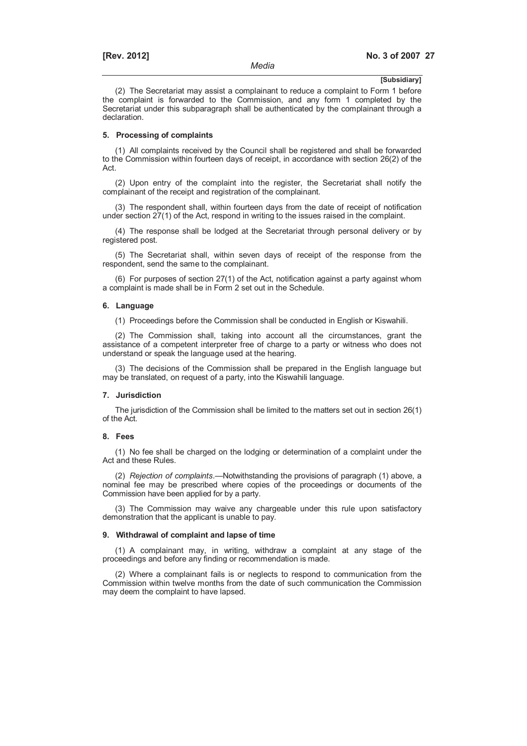(2) The Secretariat may assist a complainant to reduce a complaint to Form 1 before the complaint is forwarded to the Commission, and any form 1 completed by the Secretariat under this subparagraph shall be authenticated by the complainant through a declaration.

#### **5. Processing of complaints**

(1) All complaints received by the Council shall be registered and shall be forwarded to the Commission within fourteen days of receipt, in accordance with section 26(2) of the Act.

(2) Upon entry of the complaint into the register, the Secretariat shall notify the complainant of the receipt and registration of the complainant.

(3) The respondent shall, within fourteen days from the date of receipt of notification under section 27(1) of the Act, respond in writing to the issues raised in the complaint.

(4) The response shall be lodged at the Secretariat through personal delivery or by registered post.

(5) The Secretariat shall, within seven days of receipt of the response from the respondent, send the same to the complainant.

(6) For purposes of section 27(1) of the Act, notification against a party against whom a complaint is made shall be in Form 2 set out in the Schedule.

#### **6. Language**

(1) Proceedings before the Commission shall be conducted in English or Kiswahili.

(2) The Commission shall, taking into account all the circumstances, grant the assistance of a competent interpreter free of charge to a party or witness who does not understand or speak the language used at the hearing.

(3) The decisions of the Commission shall be prepared in the English language but may be translated, on request of a party, into the Kiswahili language.

#### **7. Jurisdiction**

The jurisdiction of the Commission shall be limited to the matters set out in section 26(1) of the Act.

#### **8. Fees**

(1) No fee shall be charged on the lodging or determination of a complaint under the Act and these Rules.

(2) *Rejection of complaints*.—Notwithstanding the provisions of paragraph (1) above, a nominal fee may be prescribed where copies of the proceedings or documents of the Commission have been applied for by a party.

(3) The Commission may waive any chargeable under this rule upon satisfactory demonstration that the applicant is unable to pay.

#### **9. Withdrawal of complaint and lapse of time**

(1) A complainant may, in writing, withdraw a complaint at any stage of the proceedings and before any finding or recommendation is made.

(2) Where a complainant fails is or neglects to respond to communication from the Commission within twelve months from the date of such communication the Commission may deem the complaint to have lapsed.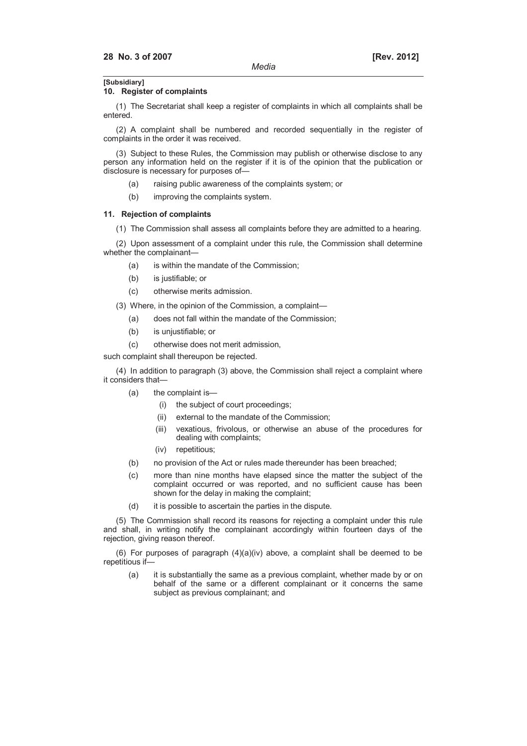### **10. Register of complaints**

(1) The Secretariat shall keep a register of complaints in which all complaints shall be entered.

(2) A complaint shall be numbered and recorded sequentially in the register of complaints in the order it was received.

(3) Subject to these Rules, the Commission may publish or otherwise disclose to any person any information held on the register if it is of the opinion that the publication or disclosure is necessary for purposes of—

- (a) raising public awareness of the complaints system; or
- (b) improving the complaints system.

#### **11. Rejection of complaints**

(1) The Commission shall assess all complaints before they are admitted to a hearing.

(2) Upon assessment of a complaint under this rule, the Commission shall determine whether the complainant—

- (a) is within the mandate of the Commission;
- (b) is justifiable; or
- (c) otherwise merits admission.
- (3) Where, in the opinion of the Commission, a complaint—
	- (a) does not fall within the mandate of the Commission;
	- (b) is unjustifiable; or
	- (c) otherwise does not merit admission,

such complaint shall thereupon be rejected.

(4) In addition to paragraph (3) above, the Commission shall reject a complaint where it considers that—

- (a) the complaint is—
	- (i) the subject of court proceedings;
	- (ii) external to the mandate of the Commission;
	- (iii) vexatious, frivolous, or otherwise an abuse of the procedures for dealing with complaints;
	- (iv) repetitious;
- (b) no provision of the Act or rules made thereunder has been breached;
- (c) more than nine months have elapsed since the matter the subject of the complaint occurred or was reported, and no sufficient cause has been shown for the delay in making the complaint;
- (d) it is possible to ascertain the parties in the dispute.

(5) The Commission shall record its reasons for rejecting a complaint under this rule and shall, in writing notify the complainant accordingly within fourteen days of the rejection, giving reason thereof.

(6) For purposes of paragraph  $(4)(a)(iv)$  above, a complaint shall be deemed to be repetitious if—

 (a) it is substantially the same as a previous complaint, whether made by or on behalf of the same or a different complainant or it concerns the same subject as previous complainant; and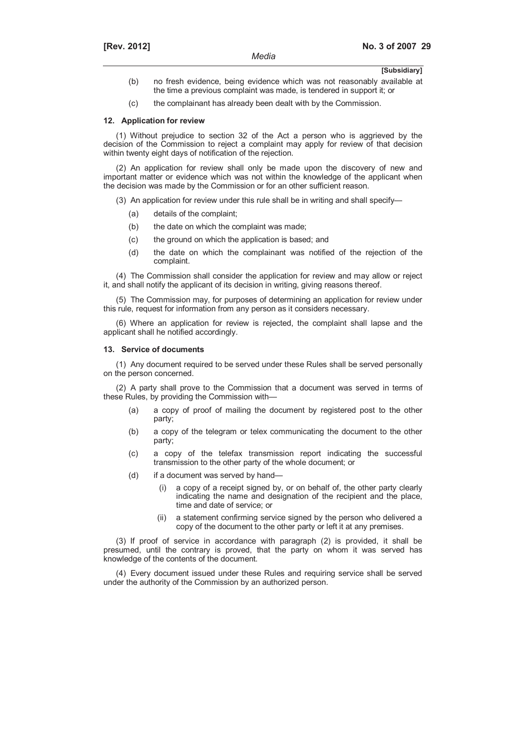- **[Subsidiary]**
- (b) no fresh evidence, being evidence which was not reasonably available at the time a previous complaint was made, is tendered in support it; or
- (c) the complainant has already been dealt with by the Commission.

#### **12. Application for review**

(1) Without prejudice to section 32 of the Act a person who is aggrieved by the decision of the Commission to reject a complaint may apply for review of that decision within twenty eight days of notification of the rejection.

(2) An application for review shall only be made upon the discovery of new and important matter or evidence which was not within the knowledge of the applicant when the decision was made by the Commission or for an other sufficient reason.

(3) An application for review under this rule shall be in writing and shall specify—

- (a) details of the complaint;
- (b) the date on which the complaint was made;
- (c) the ground on which the application is based; and
- (d) the date on which the complainant was notified of the rejection of the complaint.

(4) The Commission shall consider the application for review and may allow or reject it, and shall notify the applicant of its decision in writing, giving reasons thereof.

(5) The Commission may, for purposes of determining an application for review under this rule, request for information from any person as it considers necessary.

(6) Where an application for review is rejected, the complaint shall lapse and the applicant shall he notified accordingly.

#### **13. Service of documents**

(1) Any document required to be served under these Rules shall be served personally on the person concerned.

(2) A party shall prove to the Commission that a document was served in terms of these Rules, by providing the Commission with—

- (a) a copy of proof of mailing the document by registered post to the other party;
- (b) a copy of the telegram or telex communicating the document to the other party;
- (c) a copy of the telefax transmission report indicating the successful transmission to the other party of the whole document; or
- (d) if a document was served by hand—
	- (i) a copy of a receipt signed by, or on behalf of, the other party clearly indicating the name and designation of the recipient and the place, time and date of service; or
	- (ii) a statement confirming service signed by the person who delivered a copy of the document to the other party or left it at any premises.

(3) If proof of service in accordance with paragraph (2) is provided, it shall be presumed, until the contrary is proved, that the party on whom it was served has knowledge of the contents of the document.

(4) Every document issued under these Rules and requiring service shall be served under the authority of the Commission by an authorized person.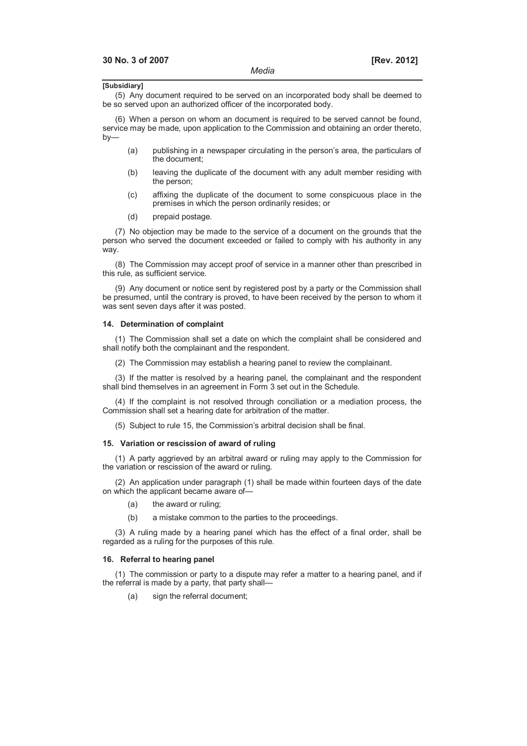(5) Any document required to be served on an incorporated body shall be deemed to be so served upon an authorized officer of the incorporated body.

(6) When a person on whom an document is required to be served cannot be found, service may be made, upon application to the Commission and obtaining an order thereto, by—

- (a) publishing in a newspaper circulating in the person's area, the particulars of the document;
- (b) leaving the duplicate of the document with any adult member residing with the person;
- (c) affixing the duplicate of the document to some conspicuous place in the premises in which the person ordinarily resides; or
- (d) prepaid postage.

(7) No objection may be made to the service of a document on the grounds that the person who served the document exceeded or failed to comply with his authority in any way.

(8) The Commission may accept proof of service in a manner other than prescribed in this rule, as sufficient service.

(9) Any document or notice sent by registered post by a party or the Commission shall be presumed, until the contrary is proved, to have been received by the person to whom it was sent seven days after it was posted.

### **14. Determination of complaint**

(1) The Commission shall set a date on which the complaint shall be considered and shall notify both the complainant and the respondent.

(2) The Commission may establish a hearing panel to review the complainant.

(3) If the matter is resolved by a hearing panel, the complainant and the respondent shall bind themselves in an agreement in Form 3 set out in the Schedule.

(4) If the complaint is not resolved through conciliation or a mediation process, the Commission shall set a hearing date for arbitration of the matter.

(5) Subject to rule 15, the Commission's arbitral decision shall be final.

#### **15. Variation or rescission of award of ruling**

(1) A party aggrieved by an arbitral award or ruling may apply to the Commission for the variation or rescission of the award or ruling.

(2) An application under paragraph (1) shall be made within fourteen days of the date on which the applicant became aware of—

- (a) the award or ruling;
- (b) a mistake common to the parties to the proceedings.

(3) A ruling made by a hearing panel which has the effect of a final order, shall be regarded as a ruling for the purposes of this rule.

#### **16. Referral to hearing panel**

(1) The commission or party to a dispute may refer a matter to a hearing panel, and if the referral is made by a party, that party shall—

(a) sign the referral document;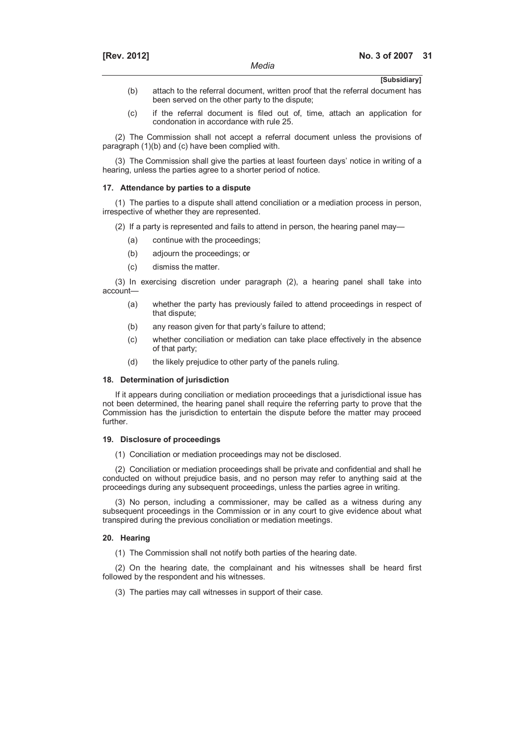- (b) attach to the referral document, written proof that the referral document has been served on the other party to the dispute;
- (c) if the referral document is filed out of, time, attach an application for condonation in accordance with rule 25.

(2) The Commission shall not accept a referral document unless the provisions of paragraph (1)(b) and (c) have been complied with.

(3) The Commission shall give the parties at least fourteen days' notice in writing of a hearing, unless the parties agree to a shorter period of notice.

#### **17. Attendance by parties to a dispute**

(1) The parties to a dispute shall attend conciliation or a mediation process in person, irrespective of whether they are represented.

(2) If a party is represented and fails to attend in person, the hearing panel may—

- (a) continue with the proceedings;
- (b) adjourn the proceedings; or
- (c) dismiss the matter.

(3) In exercising discretion under paragraph (2), a hearing panel shall take into account—

- (a) whether the party has previously failed to attend proceedings in respect of that dispute;
- (b) any reason given for that party's failure to attend;
- (c) whether conciliation or mediation can take place effectively in the absence of that party;
- (d) the likely prejudice to other party of the panels ruling.

#### **18. Determination of jurisdiction**

If it appears during conciliation or mediation proceedings that a jurisdictional issue has not been determined, the hearing panel shall require the referring party to prove that the Commission has the jurisdiction to entertain the dispute before the matter may proceed further.

#### **19. Disclosure of proceedings**

(1) Conciliation or mediation proceedings may not be disclosed.

(2) Conciliation or mediation proceedings shall be private and confidential and shall he conducted on without prejudice basis, and no person may refer to anything said at the proceedings during any subsequent proceedings, unless the parties agree in writing.

(3) No person, including a commissioner, may be called as a witness during any subsequent proceedings in the Commission or in any court to give evidence about what transpired during the previous conciliation or mediation meetings.

#### **20. Hearing**

(1) The Commission shall not notify both parties of the hearing date.

(2) On the hearing date, the complainant and his witnesses shall be heard first followed by the respondent and his witnesses.

(3) The parties may call witnesses in support of their case.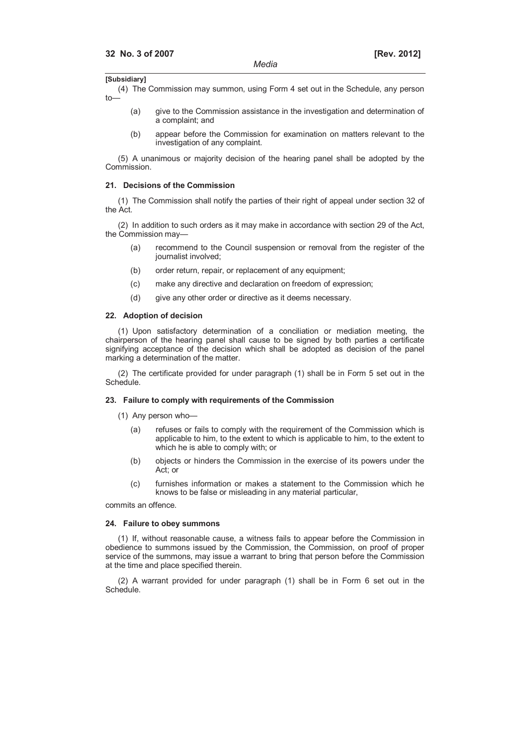(4) The Commission may summon, using Form 4 set out in the Schedule, any person  $t_{\Omega}$ 

- (a) give to the Commission assistance in the investigation and determination of a complaint; and
- (b) appear before the Commission for examination on matters relevant to the investigation of any complaint.

(5) A unanimous or majority decision of the hearing panel shall be adopted by the Commission.

#### **21. Decisions of the Commission**

(1) The Commission shall notify the parties of their right of appeal under section 32 of the Act.

(2) In addition to such orders as it may make in accordance with section 29 of the Act, the Commission may—

- (a) recommend to the Council suspension or removal from the register of the journalist involved;
- (b) order return, repair, or replacement of any equipment;
- (c) make any directive and declaration on freedom of expression;
- (d) give any other order or directive as it deems necessary.

#### **22. Adoption of decision**

(1) Upon satisfactory determination of a conciliation or mediation meeting, the chairperson of the hearing panel shall cause to be signed by both parties a certificate signifying acceptance of the decision which shall be adopted as decision of the panel marking a determination of the matter.

(2) The certificate provided for under paragraph (1) shall be in Form 5 set out in the Schedule.

#### **23. Failure to comply with requirements of the Commission**

- (1) Any person who—
	- (a) refuses or fails to comply with the requirement of the Commission which is applicable to him, to the extent to which is applicable to him, to the extent to which he is able to comply with; or
	- (b) objects or hinders the Commission in the exercise of its powers under the Act; or
	- (c) furnishes information or makes a statement to the Commission which he knows to be false or misleading in any material particular,

commits an offence.

#### **24. Failure to obey summons**

(1) If, without reasonable cause, a witness fails to appear before the Commission in obedience to summons issued by the Commission, the Commission, on proof of proper service of the summons, may issue a warrant to bring that person before the Commission at the time and place specified therein.

(2) A warrant provided for under paragraph (1) shall be in Form 6 set out in the Schedule.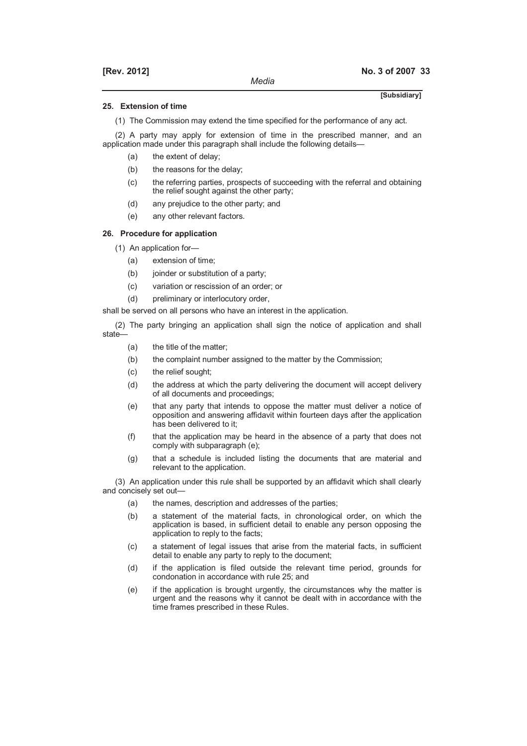#### **25. Extension of time**

(1) The Commission may extend the time specified for the performance of any act.

(2) A party may apply for extension of time in the prescribed manner, and an application made under this paragraph shall include the following details—

- (a) the extent of delay;
- (b) the reasons for the delay;
- (c) the referring parties, prospects of succeeding with the referral and obtaining the relief sought against the other party;
- (d) any prejudice to the other party; and
- (e) any other relevant factors.

#### **26. Procedure for application**

- (1) An application for—
	- (a) extension of time;
	- (b) joinder or substitution of a party;
	- (c) variation or rescission of an order; or
	- (d) preliminary or interlocutory order,

shall be served on all persons who have an interest in the application.

(2) The party bringing an application shall sign the notice of application and shall state—

- (a) the title of the matter;
- (b) the complaint number assigned to the matter by the Commission;
- (c) the relief sought;
- (d) the address at which the party delivering the document will accept delivery of all documents and proceedings;
- (e) that any party that intends to oppose the matter must deliver a notice of opposition and answering affidavit within fourteen days after the application has been delivered to it;
- (f) that the application may be heard in the absence of a party that does not comply with subparagraph (e);
- (g) that a schedule is included listing the documents that are material and relevant to the application.

(3) An application under this rule shall be supported by an affidavit which shall clearly and concisely set out—

- (a) the names, description and addresses of the parties;
- (b) a statement of the material facts, in chronological order, on which the application is based, in sufficient detail to enable any person opposing the application to reply to the facts;
- (c) a statement of legal issues that arise from the material facts, in sufficient detail to enable any party to reply to the document;
- (d) if the application is filed outside the relevant time period, grounds for condonation in accordance with rule 25; and
- (e) if the application is brought urgently, the circumstances why the matter is urgent and the reasons why it cannot be dealt with in accordance with the time frames prescribed in these Rules.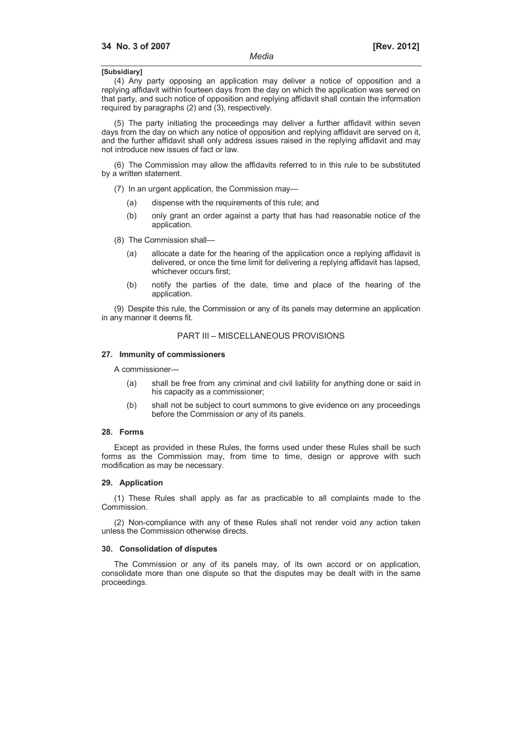(4) Any party opposing an application may deliver a notice of opposition and a replying affidavit within fourteen days from the day on which the application was served on that party, and such notice of opposition and replying affidavit shall contain the information required by paragraphs (2) and (3), respectively.

(5) The party initiating the proceedings may deliver a further affidavit within seven days from the day on which any notice of opposition and replying affidavit are served on it, and the further affidavit shall only address issues raised in the replying affidavit and may not introduce new issues of fact or law.

(6) The Commission may allow the affidavits referred to in this rule to be substituted by a written statement.

(7) In an urgent application, the Commission may—

- (a) dispense with the requirements of this rule; and
- (b) only grant an order against a party that has had reasonable notice of the application.
- (8) The Commission shall—
	- (a) allocate a date for the hearing of the application once a replying affidavit is delivered, or once the time limit for delivering a replying affidavit has lapsed, whichever occurs first;
	- (b) notify the parties of the date, time and place of the hearing of the application.

(9) Despite this rule, the Commission or any of its panels may determine an application in any manner it deems fit.

#### PART III – MISCELLANEOUS PROVISIONS

#### **27. Immunity of commissioners**

A commissioner—

- (a) shall be free from any criminal and civil liability for anything done or said in his capacity as a commissioner;
- (b) shall not be subject to court summons to give evidence on any proceedings before the Commission or any of its panels.

#### **28. Forms**

Except as provided in these Rules, the forms used under these Rules shall be such forms as the Commission may, from time to time, design or approve with such modification as may be necessary.

#### **29. Application**

(1) These Rules shall apply as far as practicable to all complaints made to the Commission.

(2) Non-compliance with any of these Rules shall not render void any action taken unless the Commission otherwise directs.

#### **30. Consolidation of disputes**

The Commission or any of its panels may, of its own accord or on application, consolidate more than one dispute so that the disputes may be dealt with in the same proceedings.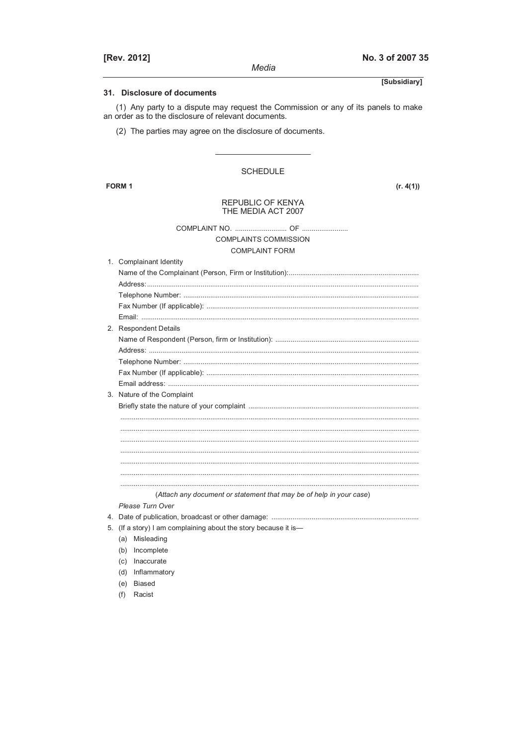| [Rev. 2012]                                                                                                                                | No. 3 of 2007 35 |
|--------------------------------------------------------------------------------------------------------------------------------------------|------------------|
| Media                                                                                                                                      |                  |
|                                                                                                                                            | [Subsidiary]     |
| 31. Disclosure of documents                                                                                                                |                  |
| (1) Any party to a dispute may request the Commission or any of its panels to make<br>an order as to the disclosure of relevant documents. |                  |
| (2) The parties may agree on the disclosure of documents.                                                                                  |                  |
| <b>SCHEDULE</b>                                                                                                                            |                  |
| <b>FORM 1</b>                                                                                                                              | (r. 4(1))        |
|                                                                                                                                            |                  |
| REPUBLIC OF KENYA<br>THE MEDIA ACT 2007                                                                                                    |                  |
|                                                                                                                                            |                  |
| <b>COMPLAINTS COMMISSION</b>                                                                                                               |                  |
| <b>COMPLAINT FORM</b>                                                                                                                      |                  |
| 1. Complainant Identity                                                                                                                    |                  |
|                                                                                                                                            |                  |
|                                                                                                                                            |                  |
|                                                                                                                                            |                  |
|                                                                                                                                            |                  |
|                                                                                                                                            |                  |
| 2. Respondent Details                                                                                                                      |                  |
|                                                                                                                                            |                  |
|                                                                                                                                            |                  |
|                                                                                                                                            |                  |
|                                                                                                                                            |                  |
|                                                                                                                                            |                  |
| 3. Nature of the Complaint                                                                                                                 |                  |
|                                                                                                                                            |                  |
|                                                                                                                                            |                  |
|                                                                                                                                            |                  |
|                                                                                                                                            |                  |
|                                                                                                                                            |                  |
| (Attach any document or statement that may be of help in your case)                                                                        |                  |
| Please Turn Over                                                                                                                           |                  |
|                                                                                                                                            |                  |
| 5. (If a story) I am complaining about the story because it is—                                                                            |                  |
| (a) Misleading                                                                                                                             |                  |

- (b) Incomplete
- (c) Inaccurate
- (d) Inflammatory
- (e) Biased
- (f) Racist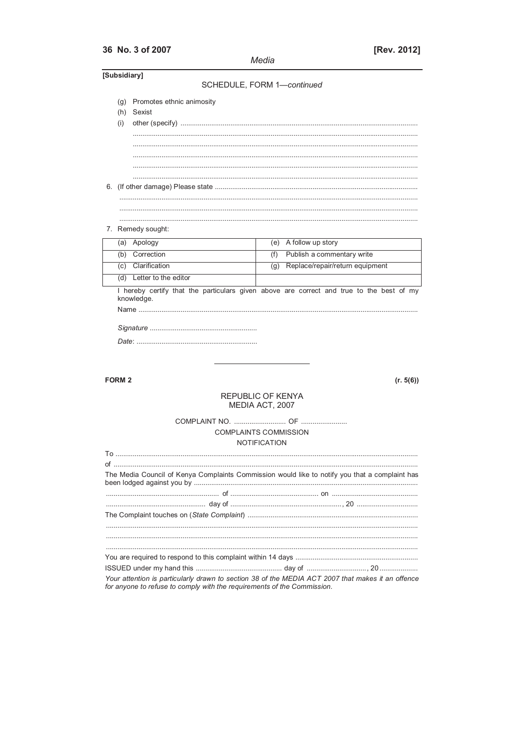# 36 No. 3 of 2007

Media

| [Subsidiary]  |                                             | SCHEDULE, FORM 1-continued   |     |                                                                                                |
|---------------|---------------------------------------------|------------------------------|-----|------------------------------------------------------------------------------------------------|
| (i)           | (g) Promotes ethnic animosity<br>(h) Sexist |                              |     |                                                                                                |
|               |                                             |                              |     |                                                                                                |
|               | 7. Remedy sought:                           |                              |     |                                                                                                |
|               | (a) Apology                                 |                              |     | (e) A follow up story                                                                          |
|               | (b) Correction                              |                              | (f) | Publish a commentary write                                                                     |
|               | (c) Clarification                           |                              |     | (g) Replace/repair/return equipment                                                            |
|               | (d) Letter to the editor                    |                              |     |                                                                                                |
|               |                                             |                              |     |                                                                                                |
| <b>FORM 2</b> |                                             |                              |     | (r. 5(6))                                                                                      |
|               |                                             | <b>REPUBLIC OF KENYA</b>     |     |                                                                                                |
|               |                                             | MEDIA ACT, 2007              |     |                                                                                                |
|               |                                             |                              |     |                                                                                                |
|               |                                             | <b>COMPLAINTS COMMISSION</b> |     |                                                                                                |
|               |                                             | <b>NOTIFICATION</b>          |     |                                                                                                |
|               |                                             |                              |     |                                                                                                |
|               |                                             |                              |     |                                                                                                |
|               |                                             |                              |     | The Media Council of Kenya Complaints Commission would like to notify you that a complaint has |
|               |                                             |                              |     |                                                                                                |
|               |                                             |                              |     |                                                                                                |
|               |                                             |                              |     |                                                                                                |
|               |                                             |                              |     |                                                                                                |
|               |                                             |                              |     |                                                                                                |

for anyone to refuse to comply with the requirements of the Commission.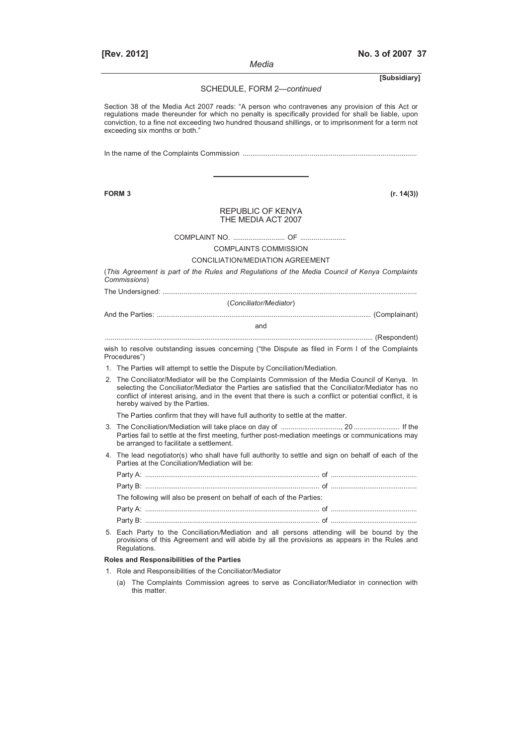*Media* 

**[Subsidiary]**

SCHEDULE, FORM 2—*continued*

Section 38 of the Media Act 2007 reads: "A person who contravenes any provision of this Act or regulations made thereunder for which no penalty is specifically provided for shall be liable, upon conviction, to a fine not exceeding two hundred thousand shillings, or to imprisonment for a term not exceeding six months or both."

In the name of the Complaints Commission ...........................................................................................

**FORM 3 (r. 14(3))**

#### REPUBLIC OF KENYA THE MEDIA ACT 2007

COMPLAINT NO. ........................... OF ........................

COMPLAINTS COMMISSION

#### CONCILIATION/MEDIATION AGREEMENT

(*This Agreement is part of the Rules and Regulations of the Media Council of Kenya Complaints Commissions*)

The Undersigned: .....................................................................................................................................

(*Conciliator/Mediator*)

And the Parties: ................................................................................................................ (Complainant)

and

............................................................................................................................................ (Respondent)

wish to resolve outstanding issues concerning ("the Dispute as filed in Form I of the Complaints Procedures")

- 1. The Parties will attempt to settle the Dispute by Conciliation/Mediation.
- 2. The Conciliator/Mediator will be the Complaints Commission of the Media Council of Kenya. In selecting the Conciliator/Mediator the Parties are satisfied that the Conciliator/Mediator has no conflict of interest arising, and in the event that there is such a conflict or potential conflict, it is hereby waived by the Parties.

The Parties confirm that they will have full authority to settle at the matter.

- 3. The Conciliation/Mediation will take place on day of ..............................., 20 ........................ If the Parties fail to settle at the first meeting, further post-mediation meetings or communications may be arranged to facilitate a settlement.
- 4. The lead negotiator(s) who shall have full authority to settle and sign on behalf of each of the Parties at the Conciliation/Mediation will be:

| The following will also be present on behalf of each of the Parties: |  |
|----------------------------------------------------------------------|--|
|                                                                      |  |
|                                                                      |  |

 5. Each Party to the Conciliation*/*Mediation and all persons attending will be bound by the provisions of this Agreement and will abide by all the provisions as appears in the Rules and Regulations.

#### **Roles and Responsibilities of the Parties**

- 1. Role and Responsibilities of the Conciliator/Mediator
	- (a) The Complaints Commission agrees to serve as Conciliator/Mediator in connection with this matter.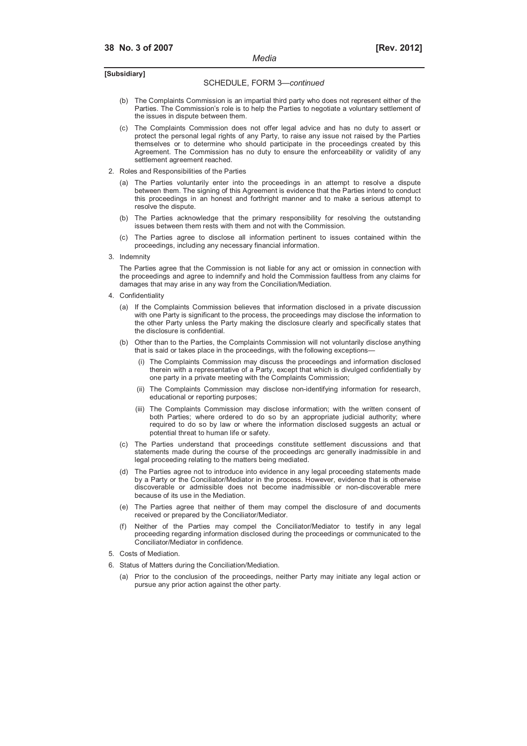#### SCHEDULE, FORM 3—*continued*

- (b) The Complaints Commission is an impartial third party who does not represent either of the Parties. The Commission's role is to help the Parties to negotiate a voluntary settlement of the issues in dispute between them.
- (c) The Complaints Commission does not offer legal advice and has no duty to assert or protect the personal legal rights of any Party, to raise any issue not raised by the Parties themselves or to determine who should participate in the proceedings created by this Agreement. The Commission has no duty to ensure the enforceability or validity of any settlement agreement reached.
- 2. Roles and Responsibilities of the Parties
	- (a) The Parties voluntarily enter into the proceedings in an attempt to resolve a dispute between them. The signing of this Agreement is evidence that the Parties intend to conduct this proceedings in an honest and forthright manner and to make a serious attempt to resolve the dispute.
	- (b) The Parties acknowledge that the primary responsibility for resolving the outstanding issues between them rests with them and not with the Commission.
	- (c) The Parties agree to disclose all information pertinent to issues contained within the proceedings, including any necessary financial information.
- 3. Indemnity

 The Parties agree that the Commission is not liable for any act or omission in connection with the proceedings and agree to indemnify and hold the Commission faultless from any claims for damages that may arise in any way from the Conciliation/Mediation.

- 4. Confidentiality
	- (a) If the Complaints Commission believes that information disclosed in a private discussion with one Party is significant to the process, the proceedings may disclose the information to the other Party unless the Party making the disclosure clearly and specifically states that the disclosure is confidential.
	- (b) Other than to the Parties, the Complaints Commission will not voluntarily disclose anything that is said or takes place in the proceedings, with the following exceptions—
		- The Complaints Commission may discuss the proceedings and information disclosed therein with a representative of a Party, except that which is divulged confidentially by one party in a private meeting with the Complaints Commission;
		- (ii) The Complaints Commission may disclose non-identifying information for research, educational or reporting purposes;
		- (iii) The Complaints Commission may disclose information; with the written consent of both Parties; where ordered to do so by an appropriate judicial authority; where required to do so by law or where the information disclosed suggests an actual or potential threat to human life or safety.
	- (c) The Parties understand that proceedings constitute settlement discussions and that statements made during the course of the proceedings arc generally inadmissible in and legal proceeding relating to the matters being mediated.
	- (d) The Parties agree not to introduce into evidence in any legal proceeding statements made by a Party or the Conciliator/Mediator in the process. However, evidence that is otherwise discoverable or admissible does not become inadmissible or non-discoverable mere because of its use in the Mediation.
	- (e) The Parties agree that neither of them may compel the disclosure of and documents received or prepared by the Conciliator/Mediator.
	- Neither of the Parties may compel the Conciliator/Mediator to testify in any legal proceeding regarding information disclosed during the proceedings or communicated to the Conciliator/Mediator in confidence.
- 5. Costs of Mediation.
- 6. Status of Matters during the Conciliation/Mediation.
	- (a) Prior to the conclusion of the proceedings, neither Party may initiate any legal action or pursue any prior action against the other party.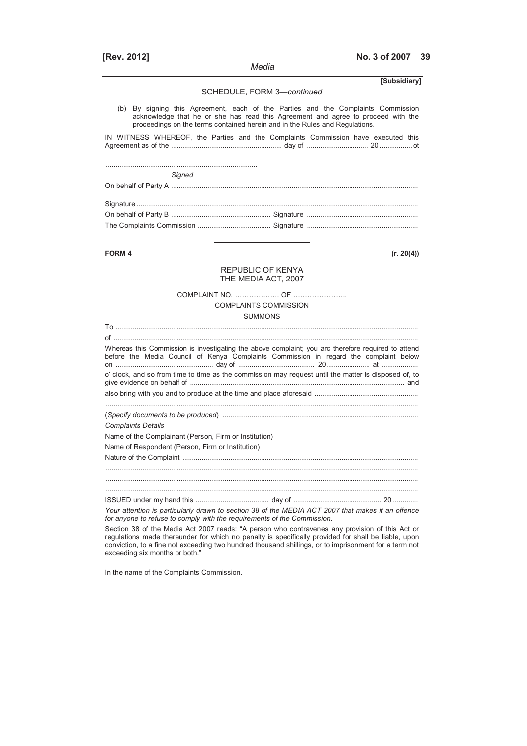#### *Media*

**[Rev. 2012] No. 3 of 2007 39**

# SCHEDULE, FORM 3—*continued* (b) By signing this Agreement, each of the Parties and the Complaints Commission acknowledge that he or she has read this Agreement and agree to proceed with the proceedings on the terms contained herein and in the Rules and Regulations. IN WITNESS WHEREOF, the Parties and the Complaints Commission have executed this Agreement as of the .......................................................... day of ................................ 20 ................. ot ............................................................................... *Signed*  On behalf of Party A ................................................................................................................................. Signature ................................................................................................................................................... On behalf of Party B .................................................... Signature .......................................................... The Complaints Commission ...................................... Signature .......................................................... **FORM 4 (r. 20(4))** REPUBLIC OF KENYA THE MEDIA ACT, 2007 COMPLAINT NO. ………………. OF ………………….. COMPLAINTS COMMISSION SUMMONS To .............................................................................................................................................................. of ............................................................................................................................................................... Whereas this Commission is investigating the above complaint; you arc therefore required to attend before the Media Council of Kenya Complaints Commission in regard the complaint below on ................................................... day of ........................................ 20....................... at ................... o' clock, and so from time to time as the commission may request until the matter is disposed of, to give evidence on behalf of ................................................................................................................ and also bring with you and to produce at the time and place aforesaid ...................................................... ................................................................................................................................................................... (*Specify documents to be produced*) ...................................................................................................... *Complaints Details*  Name of the Complainant (Person, Firm or Institution) Name of Respondent (Person, Firm or Institution) Nature of the Complaint ........................................................................................................................... ................................................................................................................................................................... ................................................................................................................................................................... ISSUED under my hand this ...................................... day of .............................................. 20 ............. *Your attention is particularly drawn to section 38 of the MEDIA ACT 2007 that makes it an offence*

*for anyone to refuse to comply with the requirements of the Commission.*  Section 38 of the Media Act 2007 reads: "A person who contravenes any provision of this Act or regulations made thereunder for which no penalty is specifically provided for shall be liable, upon conviction, to a fine not exceeding two hundred thousand shillings, or to imprisonment for a term not exceeding six months or both."

In the name of the Complaints Commission.

**[Subsidiary]**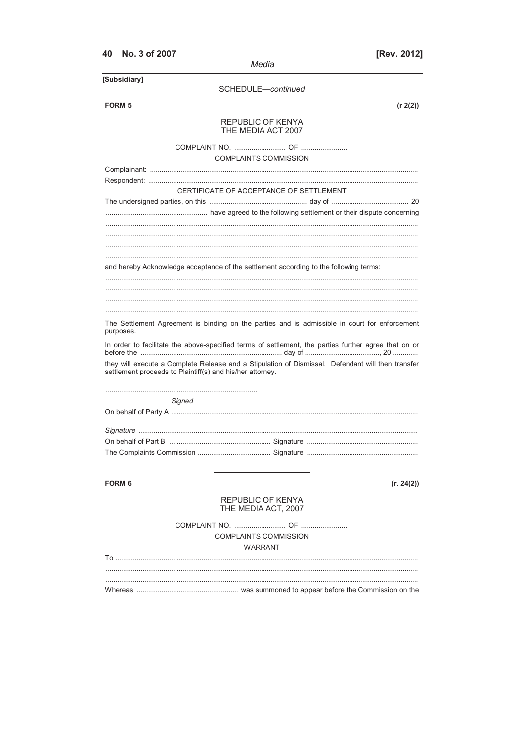| No. 3 of 2007<br>40                                                                                                                                            | Media                                           | [Rev. 2012] |
|----------------------------------------------------------------------------------------------------------------------------------------------------------------|-------------------------------------------------|-------------|
| [Subsidiary]                                                                                                                                                   |                                                 |             |
|                                                                                                                                                                | SCHEDULE-continued                              |             |
| <b>FORM 5</b>                                                                                                                                                  |                                                 | (r 2(2))    |
|                                                                                                                                                                | <b>REPUBLIC OF KENYA</b><br>THE MEDIA ACT 2007  |             |
|                                                                                                                                                                |                                                 |             |
|                                                                                                                                                                | <b>COMPLAINTS COMMISSION</b>                    |             |
|                                                                                                                                                                |                                                 |             |
|                                                                                                                                                                |                                                 |             |
|                                                                                                                                                                | CERTIFICATE OF ACCEPTANCE OF SETTLEMENT         |             |
|                                                                                                                                                                |                                                 |             |
|                                                                                                                                                                |                                                 |             |
| and hereby Acknowledge acceptance of the settlement according to the following terms:                                                                          |                                                 |             |
|                                                                                                                                                                |                                                 |             |
| The Settlement Agreement is binding on the parties and is admissible in court for enforcement<br>purposes.                                                     |                                                 |             |
| In order to facilitate the above-specified terms of settlement, the parties further agree that on or                                                           |                                                 |             |
| they will execute a Complete Release and a Stipulation of Dismissal. Defendant will then transfer<br>settlement proceeds to Plaintiff(s) and his/her attorney. |                                                 |             |
|                                                                                                                                                                |                                                 |             |
| Sianed                                                                                                                                                         |                                                 |             |
|                                                                                                                                                                |                                                 |             |
|                                                                                                                                                                |                                                 |             |
| On behalf of Part B.                                                                                                                                           |                                                 |             |
|                                                                                                                                                                |                                                 |             |
| <b>FORM 6</b>                                                                                                                                                  |                                                 | (r. 24(2))  |
|                                                                                                                                                                | <b>REPUBLIC OF KENYA</b><br>THE MEDIA ACT, 2007 |             |
|                                                                                                                                                                |                                                 |             |
|                                                                                                                                                                | <b>COMPLAINTS COMMISSION</b><br>WARRANT         |             |
|                                                                                                                                                                |                                                 |             |
|                                                                                                                                                                |                                                 |             |